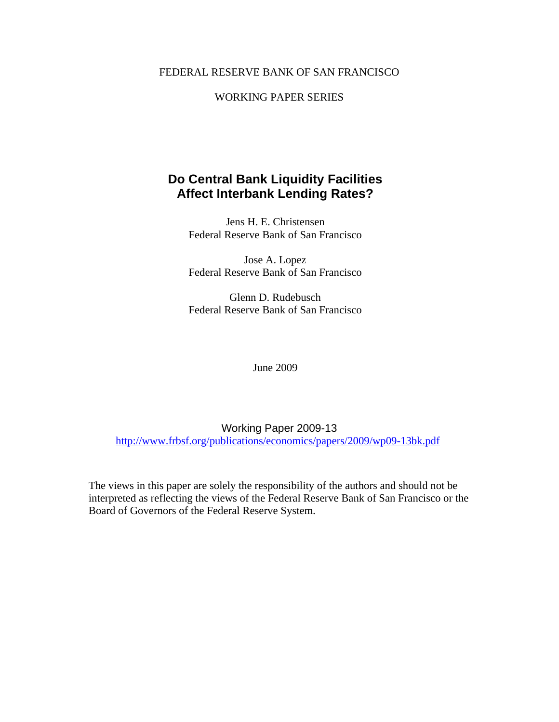## FEDERAL RESERVE BANK OF SAN FRANCISCO

### WORKING PAPER SERIES

## **Do Central Bank Liquidity Facilities Affect Interbank Lending Rates?**

Jens H. E. Christensen Federal Reserve Bank of San Francisco

Jose A. Lopez Federal Reserve Bank of San Francisco

Glenn D. Rudebusch Federal Reserve Bank of San Francisco

June 2009

Working Paper 2009-13 http://www.frbsf.org/publications/economics/papers/2009/wp09-13bk.pdf

The views in this paper are solely the responsibility of the authors and should not be interpreted as reflecting the views of the Federal Reserve Bank of San Francisco or the Board of Governors of the Federal Reserve System.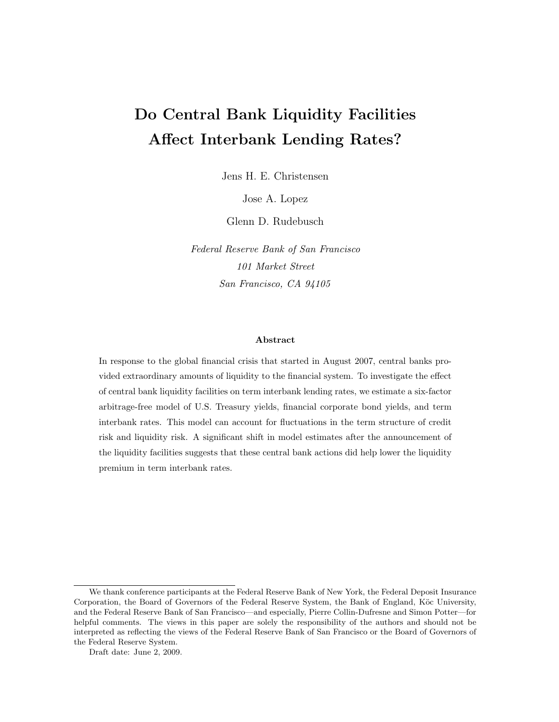# Do Central Bank Liquidity Facilities Affect Interbank Lending Rates?

Jens H. E. Christensen

Jose A. Lopez

Glenn D. Rudebusch

Federal Reserve Bank of San Francisco 101 Market Street San Francisco, CA 94105

#### Abstract

In response to the global financial crisis that started in August 2007, central banks provided extraordinary amounts of liquidity to the financial system. To investigate the effect of central bank liquidity facilities on term interbank lending rates, we estimate a six-factor arbitrage-free model of U.S. Treasury yields, financial corporate bond yields, and term interbank rates. This model can account for fluctuations in the term structure of credit risk and liquidity risk. A significant shift in model estimates after the announcement of the liquidity facilities suggests that these central bank actions did help lower the liquidity premium in term interbank rates.

We thank conference participants at the Federal Reserve Bank of New York, the Federal Deposit Insurance Corporation, the Board of Governors of the Federal Reserve System, the Bank of England, Köc University, and the Federal Reserve Bank of San Francisco—and especially, Pierre Collin-Dufresne and Simon Potter—for helpful comments. The views in this paper are solely the responsibility of the authors and should not be interpreted as reflecting the views of the Federal Reserve Bank of San Francisco or the Board of Governors of the Federal Reserve System.

Draft date: June 2, 2009.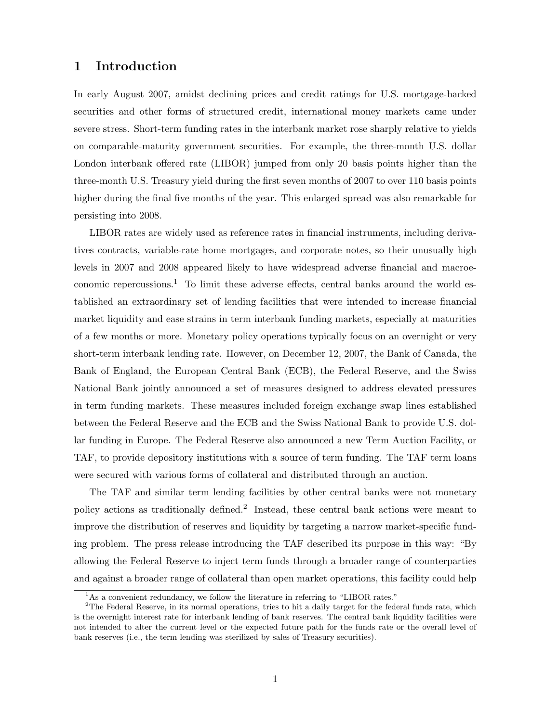## 1 Introduction

In early August 2007, amidst declining prices and credit ratings for U.S. mortgage-backed securities and other forms of structured credit, international money markets came under severe stress. Short-term funding rates in the interbank market rose sharply relative to yields on comparable-maturity government securities. For example, the three-month U.S. dollar London interbank offered rate (LIBOR) jumped from only 20 basis points higher than the three-month U.S. Treasury yield during the first seven months of 2007 to over 110 basis points higher during the final five months of the year. This enlarged spread was also remarkable for persisting into 2008.

LIBOR rates are widely used as reference rates in financial instruments, including derivatives contracts, variable-rate home mortgages, and corporate notes, so their unusually high levels in 2007 and 2008 appeared likely to have widespread adverse financial and macroeconomic repercussions.<sup>1</sup> To limit these adverse effects, central banks around the world established an extraordinary set of lending facilities that were intended to increase financial market liquidity and ease strains in term interbank funding markets, especially at maturities of a few months or more. Monetary policy operations typically focus on an overnight or very short-term interbank lending rate. However, on December 12, 2007, the Bank of Canada, the Bank of England, the European Central Bank (ECB), the Federal Reserve, and the Swiss National Bank jointly announced a set of measures designed to address elevated pressures in term funding markets. These measures included foreign exchange swap lines established between the Federal Reserve and the ECB and the Swiss National Bank to provide U.S. dollar funding in Europe. The Federal Reserve also announced a new Term Auction Facility, or TAF, to provide depository institutions with a source of term funding. The TAF term loans were secured with various forms of collateral and distributed through an auction.

The TAF and similar term lending facilities by other central banks were not monetary policy actions as traditionally defined.<sup>2</sup> Instead, these central bank actions were meant to improve the distribution of reserves and liquidity by targeting a narrow market-specific funding problem. The press release introducing the TAF described its purpose in this way: "By allowing the Federal Reserve to inject term funds through a broader range of counterparties and against a broader range of collateral than open market operations, this facility could help

 $1<sup>1</sup>$ As a convenient redundancy, we follow the literature in referring to "LIBOR rates."

<sup>&</sup>lt;sup>2</sup>The Federal Reserve, in its normal operations, tries to hit a daily target for the federal funds rate, which is the overnight interest rate for interbank lending of bank reserves. The central bank liquidity facilities were not intended to alter the current level or the expected future path for the funds rate or the overall level of bank reserves (i.e., the term lending was sterilized by sales of Treasury securities).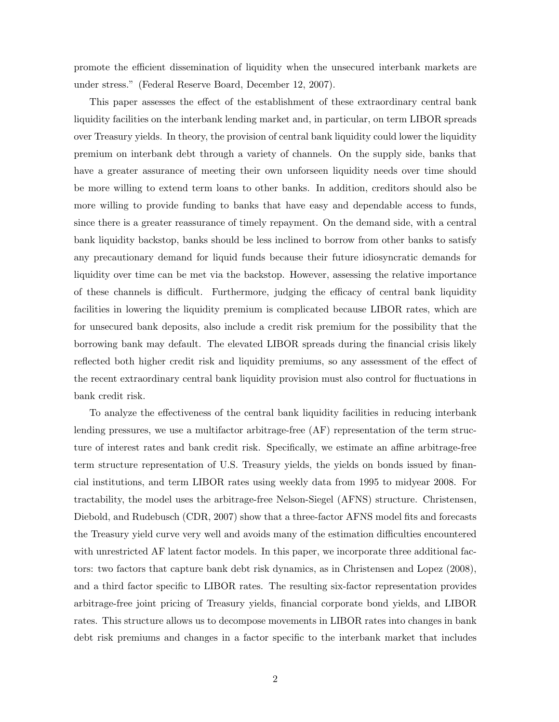promote the efficient dissemination of liquidity when the unsecured interbank markets are under stress." (Federal Reserve Board, December 12, 2007).

This paper assesses the effect of the establishment of these extraordinary central bank liquidity facilities on the interbank lending market and, in particular, on term LIBOR spreads over Treasury yields. In theory, the provision of central bank liquidity could lower the liquidity premium on interbank debt through a variety of channels. On the supply side, banks that have a greater assurance of meeting their own unforseen liquidity needs over time should be more willing to extend term loans to other banks. In addition, creditors should also be more willing to provide funding to banks that have easy and dependable access to funds, since there is a greater reassurance of timely repayment. On the demand side, with a central bank liquidity backstop, banks should be less inclined to borrow from other banks to satisfy any precautionary demand for liquid funds because their future idiosyncratic demands for liquidity over time can be met via the backstop. However, assessing the relative importance of these channels is difficult. Furthermore, judging the efficacy of central bank liquidity facilities in lowering the liquidity premium is complicated because LIBOR rates, which are for unsecured bank deposits, also include a credit risk premium for the possibility that the borrowing bank may default. The elevated LIBOR spreads during the financial crisis likely reflected both higher credit risk and liquidity premiums, so any assessment of the effect of the recent extraordinary central bank liquidity provision must also control for fluctuations in bank credit risk.

To analyze the effectiveness of the central bank liquidity facilities in reducing interbank lending pressures, we use a multifactor arbitrage-free (AF) representation of the term structure of interest rates and bank credit risk. Specifically, we estimate an affine arbitrage-free term structure representation of U.S. Treasury yields, the yields on bonds issued by financial institutions, and term LIBOR rates using weekly data from 1995 to midyear 2008. For tractability, the model uses the arbitrage-free Nelson-Siegel (AFNS) structure. Christensen, Diebold, and Rudebusch (CDR, 2007) show that a three-factor AFNS model fits and forecasts the Treasury yield curve very well and avoids many of the estimation difficulties encountered with unrestricted AF latent factor models. In this paper, we incorporate three additional factors: two factors that capture bank debt risk dynamics, as in Christensen and Lopez (2008), and a third factor specific to LIBOR rates. The resulting six-factor representation provides arbitrage-free joint pricing of Treasury yields, financial corporate bond yields, and LIBOR rates. This structure allows us to decompose movements in LIBOR rates into changes in bank debt risk premiums and changes in a factor specific to the interbank market that includes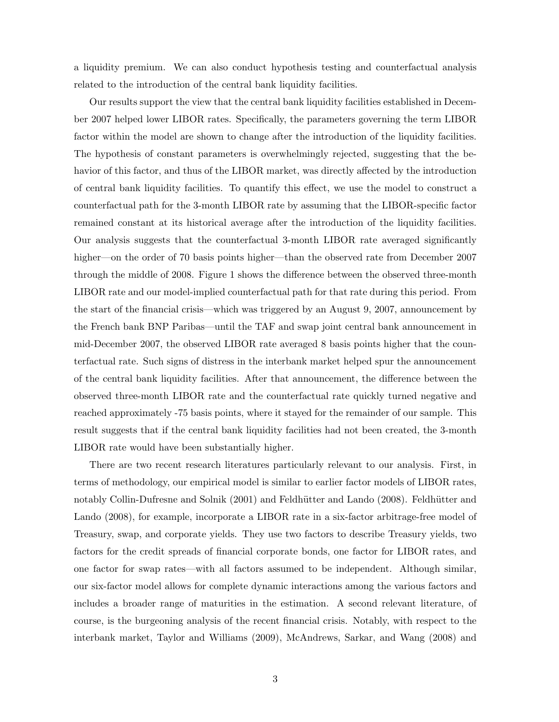a liquidity premium. We can also conduct hypothesis testing and counterfactual analysis related to the introduction of the central bank liquidity facilities.

Our results support the view that the central bank liquidity facilities established in December 2007 helped lower LIBOR rates. Specifically, the parameters governing the term LIBOR factor within the model are shown to change after the introduction of the liquidity facilities. The hypothesis of constant parameters is overwhelmingly rejected, suggesting that the behavior of this factor, and thus of the LIBOR market, was directly affected by the introduction of central bank liquidity facilities. To quantify this effect, we use the model to construct a counterfactual path for the 3-month LIBOR rate by assuming that the LIBOR-specific factor remained constant at its historical average after the introduction of the liquidity facilities. Our analysis suggests that the counterfactual 3-month LIBOR rate averaged significantly higher—on the order of 70 basis points higher—than the observed rate from December 2007 through the middle of 2008. Figure 1 shows the difference between the observed three-month LIBOR rate and our model-implied counterfactual path for that rate during this period. From the start of the financial crisis—which was triggered by an August 9, 2007, announcement by the French bank BNP Paribas—until the TAF and swap joint central bank announcement in mid-December 2007, the observed LIBOR rate averaged 8 basis points higher that the counterfactual rate. Such signs of distress in the interbank market helped spur the announcement of the central bank liquidity facilities. After that announcement, the difference between the observed three-month LIBOR rate and the counterfactual rate quickly turned negative and reached approximately -75 basis points, where it stayed for the remainder of our sample. This result suggests that if the central bank liquidity facilities had not been created, the 3-month LIBOR rate would have been substantially higher.

There are two recent research literatures particularly relevant to our analysis. First, in terms of methodology, our empirical model is similar to earlier factor models of LIBOR rates, notably Collin-Dufresne and Solnik (2001) and Feldhütter and Lando (2008). Feldhütter and Lando (2008), for example, incorporate a LIBOR rate in a six-factor arbitrage-free model of Treasury, swap, and corporate yields. They use two factors to describe Treasury yields, two factors for the credit spreads of financial corporate bonds, one factor for LIBOR rates, and one factor for swap rates—with all factors assumed to be independent. Although similar, our six-factor model allows for complete dynamic interactions among the various factors and includes a broader range of maturities in the estimation. A second relevant literature, of course, is the burgeoning analysis of the recent financial crisis. Notably, with respect to the interbank market, Taylor and Williams (2009), McAndrews, Sarkar, and Wang (2008) and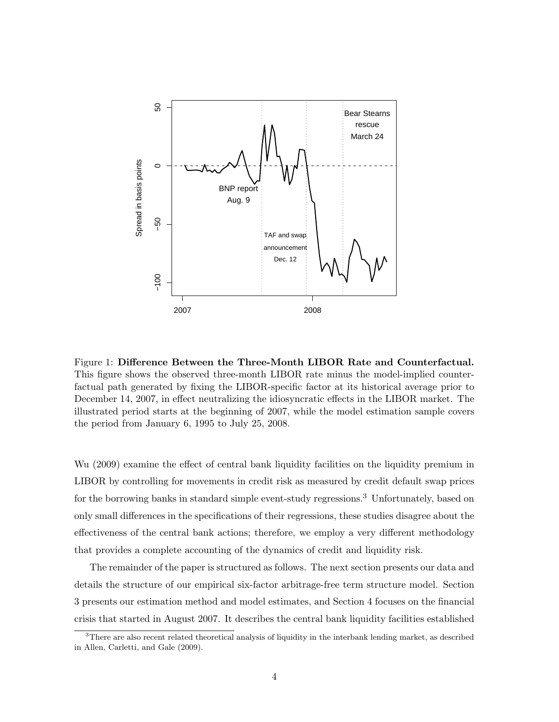

Figure 1: Difference Between the Three-Month LIBOR Rate and Counterfactual. This figure shows the observed three-month LIBOR rate minus the model-implied counterfactual path generated by fixing the LIBOR-specific factor at its historical average prior to December 14, 2007, in effect neutralizing the idiosyncratic effects in the LIBOR market. The illustrated period starts at the beginning of 2007, while the model estimation sample covers the period from January 6, 1995 to July 25, 2008.

Wu (2009) examine the effect of central bank liquidity facilities on the liquidity premium in LIBOR by controlling for movements in credit risk as measured by credit default swap prices for the borrowing banks in standard simple event-study regressions.<sup>3</sup> Unfortunately, based on only small differences in the specifications of their regressions, these studies disagree about the effectiveness of the central bank actions; therefore, we employ a very different methodology that provides a complete accounting of the dynamics of credit and liquidity risk.

The remainder of the paper is structured as follows. The next section presents our data and details the structure of our empirical six-factor arbitrage-free term structure model. Section 3 presents our estimation method and model estimates, and Section 4 focuses on the financial crisis that started in August 2007. It describes the central bank liquidity facilities established

<sup>&</sup>lt;sup>3</sup>There are also recent related theoretical analysis of liquidity in the interbank lending market, as described in Allen, Carletti, and Gale (2009).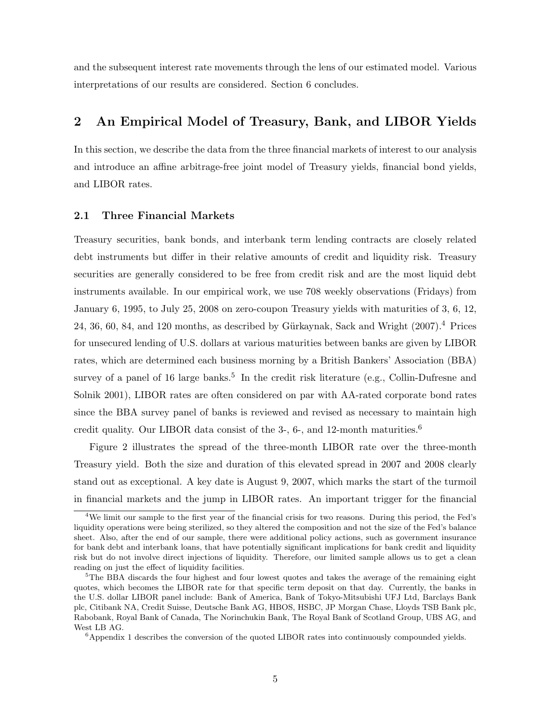and the subsequent interest rate movements through the lens of our estimated model. Various interpretations of our results are considered. Section 6 concludes.

## 2 An Empirical Model of Treasury, Bank, and LIBOR Yields

In this section, we describe the data from the three financial markets of interest to our analysis and introduce an affine arbitrage-free joint model of Treasury yields, financial bond yields, and LIBOR rates.

#### 2.1 Three Financial Markets

Treasury securities, bank bonds, and interbank term lending contracts are closely related debt instruments but differ in their relative amounts of credit and liquidity risk. Treasury securities are generally considered to be free from credit risk and are the most liquid debt instruments available. In our empirical work, we use 708 weekly observations (Fridays) from January 6, 1995, to July 25, 2008 on zero-coupon Treasury yields with maturities of 3, 6, 12, 24, 36, 60, 84, and 120 months, as described by Gürkaynak, Sack and Wright  $(2007).<sup>4</sup>$  Prices for unsecured lending of U.S. dollars at various maturities between banks are given by LIBOR rates, which are determined each business morning by a British Bankers' Association (BBA) survey of a panel of 16 large banks.<sup>5</sup> In the credit risk literature (e.g., Collin-Dufresne and Solnik 2001), LIBOR rates are often considered on par with AA-rated corporate bond rates since the BBA survey panel of banks is reviewed and revised as necessary to maintain high credit quality. Our LIBOR data consist of the 3-, 6-, and 12-month maturities.<sup>6</sup>

Figure 2 illustrates the spread of the three-month LIBOR rate over the three-month Treasury yield. Both the size and duration of this elevated spread in 2007 and 2008 clearly stand out as exceptional. A key date is August 9, 2007, which marks the start of the turmoil in financial markets and the jump in LIBOR rates. An important trigger for the financial

<sup>&</sup>lt;sup>4</sup>We limit our sample to the first year of the financial crisis for two reasons. During this period, the Fed's liquidity operations were being sterilized, so they altered the composition and not the size of the Fed's balance sheet. Also, after the end of our sample, there were additional policy actions, such as government insurance for bank debt and interbank loans, that have potentially significant implications for bank credit and liquidity risk but do not involve direct injections of liquidity. Therefore, our limited sample allows us to get a clean reading on just the effect of liquidity facilities.

<sup>&</sup>lt;sup>5</sup>The BBA discards the four highest and four lowest quotes and takes the average of the remaining eight quotes, which becomes the LIBOR rate for that specific term deposit on that day. Currently, the banks in the U.S. dollar LIBOR panel include: Bank of America, Bank of Tokyo-Mitsubishi UFJ Ltd, Barclays Bank plc, Citibank NA, Credit Suisse, Deutsche Bank AG, HBOS, HSBC, JP Morgan Chase, Lloyds TSB Bank plc, Rabobank, Royal Bank of Canada, The Norinchukin Bank, The Royal Bank of Scotland Group, UBS AG, and West LB AG.

 ${}^{6}$ Appendix 1 describes the conversion of the quoted LIBOR rates into continuously compounded yields.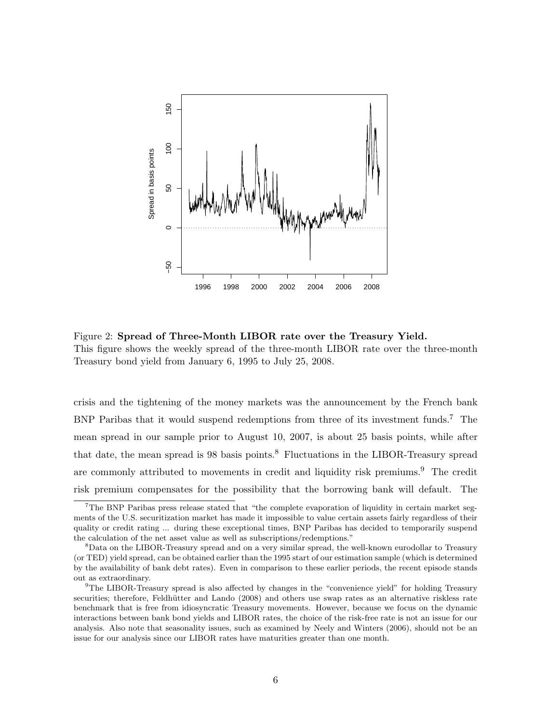

Figure 2: Spread of Three-Month LIBOR rate over the Treasury Yield. This figure shows the weekly spread of the three-month LIBOR rate over the three-month Treasury bond yield from January 6, 1995 to July 25, 2008.

crisis and the tightening of the money markets was the announcement by the French bank BNP Paribas that it would suspend redemptions from three of its investment funds.<sup>7</sup> The mean spread in our sample prior to August 10, 2007, is about 25 basis points, while after that date, the mean spread is 98 basis points.<sup>8</sup> Fluctuations in the LIBOR-Treasury spread are commonly attributed to movements in credit and liquidity risk premiums.<sup>9</sup> The credit risk premium compensates for the possibility that the borrowing bank will default. The

<sup>7</sup>The BNP Paribas press release stated that "the complete evaporation of liquidity in certain market segments of the U.S. securitization market has made it impossible to value certain assets fairly regardless of their quality or credit rating ... during these exceptional times, BNP Paribas has decided to temporarily suspend the calculation of the net asset value as well as subscriptions/redemptions."

<sup>&</sup>lt;sup>8</sup>Data on the LIBOR-Treasury spread and on a very similar spread, the well-known eurodollar to Treasury (or TED) yield spread, can be obtained earlier than the 1995 start of our estimation sample (which is determined by the availability of bank debt rates). Even in comparison to these earlier periods, the recent episode stands out as extraordinary.

<sup>9</sup>The LIBOR-Treasury spread is also affected by changes in the "convenience yield" for holding Treasury securities; therefore, Feldhütter and Lando (2008) and others use swap rates as an alternative riskless rate benchmark that is free from idiosyncratic Treasury movements. However, because we focus on the dynamic interactions between bank bond yields and LIBOR rates, the choice of the risk-free rate is not an issue for our analysis. Also note that seasonality issues, such as examined by Neely and Winters (2006), should not be an issue for our analysis since our LIBOR rates have maturities greater than one month.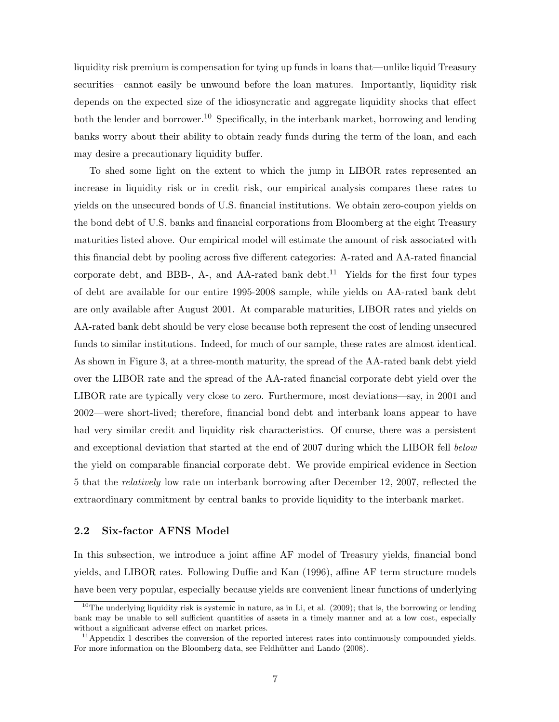liquidity risk premium is compensation for tying up funds in loans that—unlike liquid Treasury securities—cannot easily be unwound before the loan matures. Importantly, liquidity risk depends on the expected size of the idiosyncratic and aggregate liquidity shocks that effect both the lender and borrower.<sup>10</sup> Specifically, in the interbank market, borrowing and lending banks worry about their ability to obtain ready funds during the term of the loan, and each may desire a precautionary liquidity buffer.

To shed some light on the extent to which the jump in LIBOR rates represented an increase in liquidity risk or in credit risk, our empirical analysis compares these rates to yields on the unsecured bonds of U.S. financial institutions. We obtain zero-coupon yields on the bond debt of U.S. banks and financial corporations from Bloomberg at the eight Treasury maturities listed above. Our empirical model will estimate the amount of risk associated with this financial debt by pooling across five different categories: A-rated and AA-rated financial corporate debt, and BBB-, A-, and AA-rated bank debt.<sup>11</sup> Yields for the first four types of debt are available for our entire 1995-2008 sample, while yields on AA-rated bank debt are only available after August 2001. At comparable maturities, LIBOR rates and yields on AA-rated bank debt should be very close because both represent the cost of lending unsecured funds to similar institutions. Indeed, for much of our sample, these rates are almost identical. As shown in Figure 3, at a three-month maturity, the spread of the AA-rated bank debt yield over the LIBOR rate and the spread of the AA-rated financial corporate debt yield over the LIBOR rate are typically very close to zero. Furthermore, most deviations—say, in 2001 and 2002—were short-lived; therefore, financial bond debt and interbank loans appear to have had very similar credit and liquidity risk characteristics. Of course, there was a persistent and exceptional deviation that started at the end of 2007 during which the LIBOR fell below the yield on comparable financial corporate debt. We provide empirical evidence in Section 5 that the relatively low rate on interbank borrowing after December 12, 2007, reflected the extraordinary commitment by central banks to provide liquidity to the interbank market.

#### 2.2 Six-factor AFNS Model

In this subsection, we introduce a joint affine AF model of Treasury yields, financial bond yields, and LIBOR rates. Following Duffie and Kan (1996), affine AF term structure models have been very popular, especially because yields are convenient linear functions of underlying

<sup>&</sup>lt;sup>10</sup>The underlying liquidity risk is systemic in nature, as in Li, et al. (2009); that is, the borrowing or lending bank may be unable to sell sufficient quantities of assets in a timely manner and at a low cost, especially without a significant adverse effect on market prices.

 $11$ Appendix 1 describes the conversion of the reported interest rates into continuously compounded yields. For more information on the Bloomberg data, see Feldhütter and Lando (2008).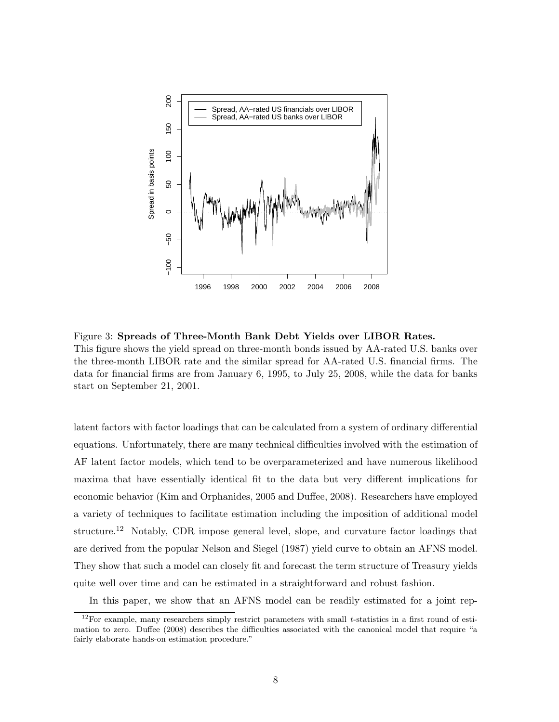

Figure 3: Spreads of Three-Month Bank Debt Yields over LIBOR Rates. This figure shows the yield spread on three-month bonds issued by AA-rated U.S. banks over the three-month LIBOR rate and the similar spread for AA-rated U.S. financial firms. The data for financial firms are from January 6, 1995, to July 25, 2008, while the data for banks start on September 21, 2001.

latent factors with factor loadings that can be calculated from a system of ordinary differential equations. Unfortunately, there are many technical difficulties involved with the estimation of AF latent factor models, which tend to be overparameterized and have numerous likelihood maxima that have essentially identical fit to the data but very different implications for economic behavior (Kim and Orphanides, 2005 and Duffee, 2008). Researchers have employed a variety of techniques to facilitate estimation including the imposition of additional model structure.<sup>12</sup> Notably, CDR impose general level, slope, and curvature factor loadings that are derived from the popular Nelson and Siegel (1987) yield curve to obtain an AFNS model. They show that such a model can closely fit and forecast the term structure of Treasury yields quite well over time and can be estimated in a straightforward and robust fashion.

In this paper, we show that an AFNS model can be readily estimated for a joint rep-

 $12$ For example, many researchers simply restrict parameters with small t-statistics in a first round of estimation to zero. Duffee (2008) describes the difficulties associated with the canonical model that require "a fairly elaborate hands-on estimation procedure."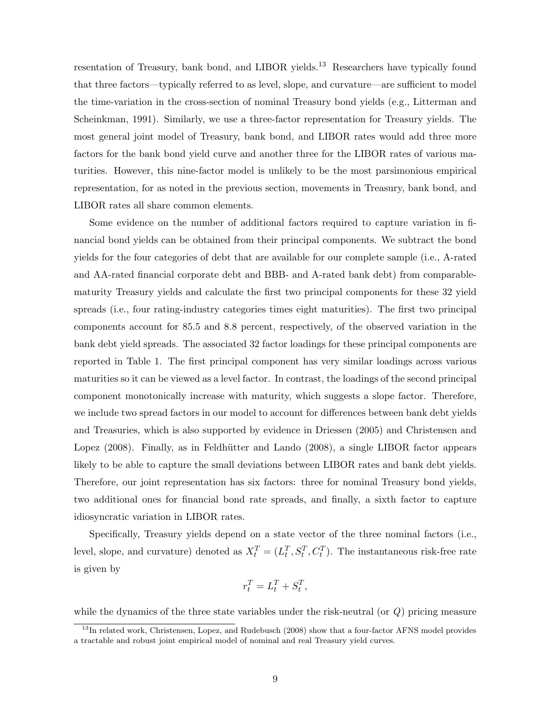resentation of Treasury, bank bond, and LIBOR yields.<sup>13</sup> Researchers have typically found that three factors—typically referred to as level, slope, and curvature—are sufficient to model the time-variation in the cross-section of nominal Treasury bond yields (e.g., Litterman and Scheinkman, 1991). Similarly, we use a three-factor representation for Treasury yields. The most general joint model of Treasury, bank bond, and LIBOR rates would add three more factors for the bank bond yield curve and another three for the LIBOR rates of various maturities. However, this nine-factor model is unlikely to be the most parsimonious empirical representation, for as noted in the previous section, movements in Treasury, bank bond, and LIBOR rates all share common elements.

Some evidence on the number of additional factors required to capture variation in financial bond yields can be obtained from their principal components. We subtract the bond yields for the four categories of debt that are available for our complete sample (i.e., A-rated and AA-rated financial corporate debt and BBB- and A-rated bank debt) from comparablematurity Treasury yields and calculate the first two principal components for these 32 yield spreads (i.e., four rating-industry categories times eight maturities). The first two principal components account for 85.5 and 8.8 percent, respectively, of the observed variation in the bank debt yield spreads. The associated 32 factor loadings for these principal components are reported in Table 1. The first principal component has very similar loadings across various maturities so it can be viewed as a level factor. In contrast, the loadings of the second principal component monotonically increase with maturity, which suggests a slope factor. Therefore, we include two spread factors in our model to account for differences between bank debt yields and Treasuries, which is also supported by evidence in Driessen (2005) and Christensen and Lopez (2008). Finally, as in Feldhütter and Lando (2008), a single LIBOR factor appears likely to be able to capture the small deviations between LIBOR rates and bank debt yields. Therefore, our joint representation has six factors: three for nominal Treasury bond yields, two additional ones for financial bond rate spreads, and finally, a sixth factor to capture idiosyncratic variation in LIBOR rates.

Specifically, Treasury yields depend on a state vector of the three nominal factors (i.e., level, slope, and curvature) denoted as  $X_t^T = (L_t^T, S_t^T, C_t^T)$ . The instantaneous risk-free rate is given by

$$
r_t^T = L_t^T + S_t^T,
$$

while the dynamics of the three state variables under the risk-neutral (or  $Q$ ) pricing measure

<sup>&</sup>lt;sup>13</sup>In related work, Christensen, Lopez, and Rudebusch (2008) show that a four-factor AFNS model provides a tractable and robust joint empirical model of nominal and real Treasury yield curves.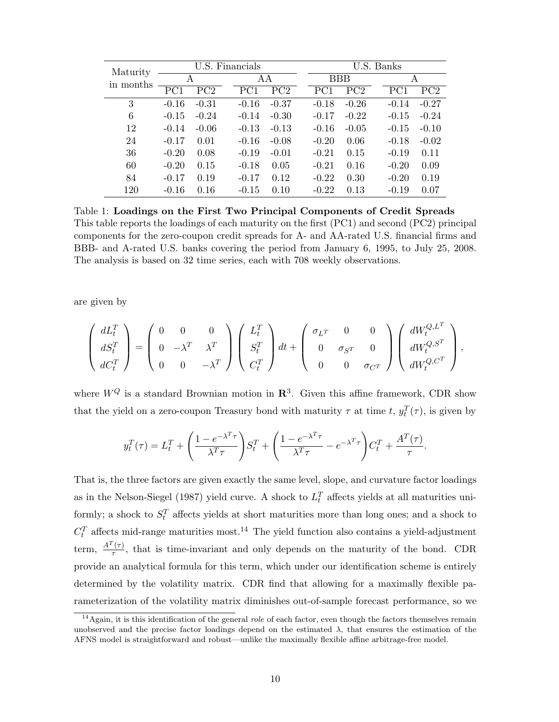| Maturity  |         |                  | U.S. Financials |         |  |                 | U.S. Banks |  |         |                 |
|-----------|---------|------------------|-----------------|---------|--|-----------------|------------|--|---------|-----------------|
| in months | A       |                  |                 | AА      |  | <b>BBB</b>      |            |  | А       |                 |
|           | PC1     | $\overline{PC2}$ | PC1             | PC2     |  | PC <sub>1</sub> | PC2        |  | PC1     | PC <sub>2</sub> |
| 3         | $-0.16$ | $-0.31$          | $-0.16$         | $-0.37$ |  | $-0.18$         | $-0.26$    |  | $-0.14$ | $-0.27$         |
| 6         | $-0.15$ | $-0.24$          | $-0.14$         | $-0.30$ |  | $-0.17$         | $-0.22$    |  | $-0.15$ | $-0.24$         |
| 12        | $-0.14$ | $-0.06$          | $-0.13$         | $-0.13$ |  | $-0.16$         | $-0.05$    |  | $-0.15$ | $-0.10$         |
| 24        | $-0.17$ | 0.01             | $-0.16$         | $-0.08$ |  | $-0.20$         | 0.06       |  | $-0.18$ | $-0.02$         |
| 36        | $-0.20$ | 0.08             | $-0.19$         | $-0.01$ |  | $-0.21$         | 0.15       |  | $-0.19$ | 0.11            |
| 60        | $-0.20$ | 0.15             | $-0.18$         | 0.05    |  | $-0.21$         | 0.16       |  | $-0.20$ | 0.09            |
| 84        | $-0.17$ | 0.19             | $-0.17$         | 0.12    |  | $-0.22$         | 0.30       |  | $-0.20$ | 0.19            |
| 120       | $-0.16$ | 0.16             | $-0.15$         | 0.10    |  | $-0.22$         | 0.13       |  | $-0.19$ | 0.07            |

Table 1: Loadings on the First Two Principal Components of Credit Spreads This table reports the loadings of each maturity on the first (PC1) and second (PC2) principal components for the zero-coupon credit spreads for A- and AA-rated U.S. financial firms and BBB- and A-rated U.S. banks covering the period from January 6, 1995, to July 25, 2008. The analysis is based on 32 time series, each with 708 weekly observations.

are given by

$$
\left(\begin{array}{c} dL_t^T\\ dS_t^T\\ dC_t^T\\ \end{array}\right)=\left(\begin{array}{ccc} 0 & 0 & 0\\ 0 & -\lambda^T & \lambda^T\\ 0 & 0 & -\lambda^T\\ \end{array}\right)\left(\begin{array}{c} L_t^T\\ S_t^T\\ C_t^T\\ \end{array}\right)dt+\left(\begin{array}{ccc} \sigma_{L^T}& 0 & 0\\ 0 & \sigma_{S^T}& 0\\ 0 & 0 & \sigma_{C^T}\\ \end{array}\right)\left(\begin{array}{c} dW_t^{Q,L^T}\\ dW_t^{Q,S^T}\\ dW_t^{Q,C^T}\\ \end{array}\right),
$$

where  $W^Q$  is a standard Brownian motion in  $\mathbb{R}^3$ . Given this affine framework, CDR show that the yield on a zero-coupon Treasury bond with maturity  $\tau$  at time t,  $y_t^T(\tau)$ , is given by

$$
y_t^T(\tau) = L_t^T + \left(\frac{1 - e^{-\lambda^T \tau}}{\lambda^T \tau}\right) S_t^T + \left(\frac{1 - e^{-\lambda^T \tau}}{\lambda^T \tau} - e^{-\lambda^T \tau}\right) C_t^T + \frac{A^T(\tau)}{\tau}.
$$

That is, the three factors are given exactly the same level, slope, and curvature factor loadings as in the Nelson-Siegel (1987) yield curve. A shock to  $L_t^T$  affects yields at all maturities uniformly; a shock to  $S_t^T$  affects yields at short maturities more than long ones; and a shock to  $C_t^T$  affects mid-range maturities most.<sup>14</sup> The yield function also contains a yield-adjustment term,  $\frac{A^T(\tau)}{\tau}$ , that is time-invariant and only depends on the maturity of the bond. CDR provide an analytical formula for this term, which under our identification scheme is entirely determined by the volatility matrix. CDR find that allowing for a maximally flexible parameterization of the volatility matrix diminishes out-of-sample forecast performance, so we

 $^{14}$ Again, it is this identification of the general *role* of each factor, even though the factors themselves remain unobserved and the precise factor loadings depend on the estimated  $\lambda$ , that ensures the estimation of the AFNS model is straightforward and robust—unlike the maximally flexible affine arbitrage-free model.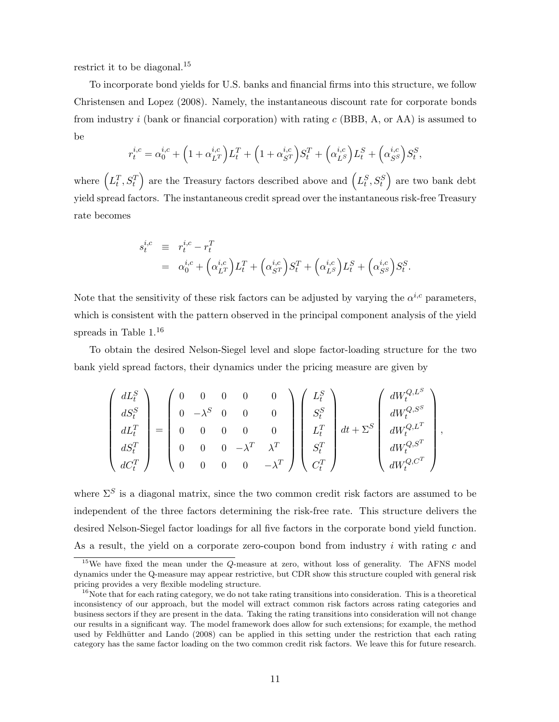restrict it to be diagonal.<sup>15</sup>

To incorporate bond yields for U.S. banks and financial firms into this structure, we follow Christensen and Lopez (2008). Namely, the instantaneous discount rate for corporate bonds from industry i (bank or financial corporation) with rating  $c$  (BBB, A, or AA) is assumed to be  $\overline{a}$ ´  $\overline{a}$ ´  $\overline{a}$ ´  $\overline{a}$ ´

$$
r_t^{i,c} = \alpha_0^{i,c} + \left(1 + \alpha_{LT}^{i,c}\right) L_t^T + \left(1 + \alpha_{ST}^{i,c}\right) S_t^T + \left(\alpha_{LS}^{i,c}\right) L_t^S + \left(\alpha_{SS}^{i,c}\right) S_t^S,
$$

where  $\left(L_t^T, S_t^T\right)$ ) are the Treasury factors described above and  $\left( L_{t}^{S},S_{t}^{S}\right)$ are two bank debt yield spread factors. The instantaneous credit spread over the instantaneous risk-free Treasury rate becomes

$$
s_t^{i,c} \equiv r_t^{i,c} - r_t^T
$$
  
=  $\alpha_0^{i,c} + (\alpha_{LT}^{i,c}) L_t^T + (\alpha_{S^T}^{i,c}) S_t^T + (\alpha_{LS}^{i,c}) L_t^S + (\alpha_{S^S}^{i,c}) S_t^S$ .

Note that the sensitivity of these risk factors can be adjusted by varying the  $\alpha^{i,c}$  parameters, which is consistent with the pattern observed in the principal component analysis of the yield spreads in Table 1.<sup>16</sup>

To obtain the desired Nelson-Siegel level and slope factor-loading structure for the two bank yield spread factors, their dynamics under the pricing measure are given by

$$
\left( \begin{array}{c} dL_t^S \\ dS_t^S \\ dL_t^T \\ dS_t^T \\ dC_t^T \\ \end{array} \right) = \left( \begin{array}{cccccc} 0 & 0 & 0 & 0 & 0 \\ 0 & -\lambda^S & 0 & 0 & 0 \\ 0 & 0 & 0 & 0 & 0 \\ 0 & 0 & 0 & -\lambda^T & \lambda^T \\ 0 & 0 & 0 & 0 & -\lambda^T \\ \end{array} \right) \left( \begin{array}{c} L_t^S \\ S_t^S \\ L_t^T \\ S_t^T \\ C_t^T \\ \end{array} \right) dt + \Sigma^S \left( \begin{array}{c} dW_t^{Q,L^S} \\ dW_t^{Q,S^S} \\ dW_t^{Q,S^T} \\ dW_t^{Q,S^T} \\ dW_t^{Q,C^T} \\ \end{array} \right),
$$

where  $\Sigma^S$  is a diagonal matrix, since the two common credit risk factors are assumed to be independent of the three factors determining the risk-free rate. This structure delivers the desired Nelson-Siegel factor loadings for all five factors in the corporate bond yield function. As a result, the yield on a corporate zero-coupon bond from industry  $i$  with rating  $c$  and

 $15$ We have fixed the mean under the Q-measure at zero, without loss of generality. The AFNS model dynamics under the Q-measure may appear restrictive, but CDR show this structure coupled with general risk pricing provides a very flexible modeling structure.

 $16$ Note that for each rating category, we do not take rating transitions into consideration. This is a theoretical inconsistency of our approach, but the model will extract common risk factors across rating categories and business sectors if they are present in the data. Taking the rating transitions into consideration will not change our results in a significant way. The model framework does allow for such extensions; for example, the method used by Feldhütter and Lando (2008) can be applied in this setting under the restriction that each rating category has the same factor loading on the two common credit risk factors. We leave this for future research.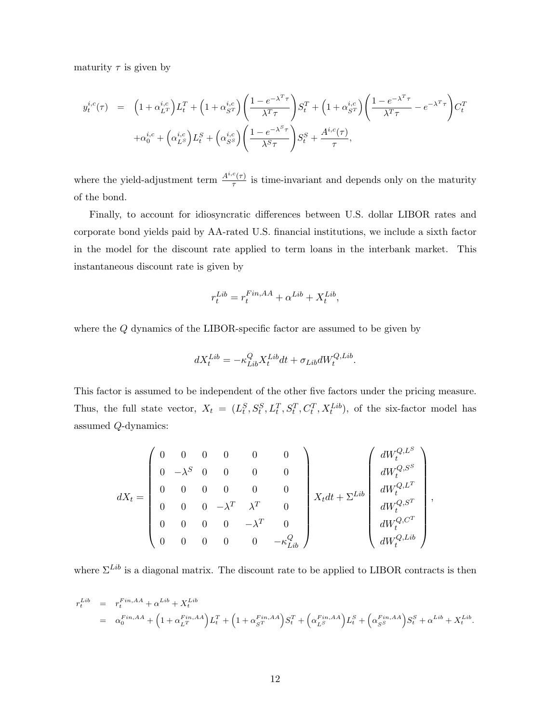maturity  $\tau$  is given by

$$
y_t^{i,c}(\tau) = \left(1 + \alpha_{LT}^{i,c}\right)L_t^T + \left(1 + \alpha_{ST}^{i,c}\right)\left(\frac{1 - e^{-\lambda^T \tau}}{\lambda^T \tau}\right)S_t^T + \left(1 + \alpha_{ST}^{i,c}\right)\left(\frac{1 - e^{-\lambda^T \tau}}{\lambda^T \tau} - e^{-\lambda^T \tau}\right)C_t^T
$$

$$
+ \alpha_0^{i,c} + \left(\alpha_{LS}^{i,c}\right)L_t^S + \left(\alpha_{SS}^{i,c}\right)\left(\frac{1 - e^{-\lambda^S \tau}}{\lambda^S \tau}\right)S_t^S + \frac{A^{i,c}(\tau)}{\tau},
$$

where the yield-adjustment term  $\frac{A^{i,c}(\tau)}{\tau}$  is time-invariant and depends only on the maturity of the bond.

Finally, to account for idiosyncratic differences between U.S. dollar LIBOR rates and corporate bond yields paid by AA-rated U.S. financial institutions, we include a sixth factor in the model for the discount rate applied to term loans in the interbank market. This instantaneous discount rate is given by

$$
r_t^{Lib} = r_t^{Fin,AA} + \alpha^{Lib} + X_t^{Lib},
$$

where the Q dynamics of the LIBOR-specific factor are assumed to be given by

$$
dX_t^{Lib} = -\kappa^Q_{Lib} X^{Lib}_t dt + \sigma_{Lib} dW^{Q, Lib}_t.
$$

This factor is assumed to be independent of the other five factors under the pricing measure. Thus, the full state vector,  $X_t = (L_t^S, S_t^S, L_t^T, S_t^T, C_t^T, X_t^{Lib})$ , of the six-factor model has assumed Q-dynamics:

$$
dX_t=\begin{pmatrix} 0 & 0 & 0 & 0 & 0 & 0 \\ 0 & -\lambda^S & 0 & 0 & 0 & 0 \\ 0 & 0 & 0 & 0 & 0 & 0 \\ 0 & 0 & 0 & -\lambda^T & \lambda^T & 0 \\ 0 & 0 & 0 & 0 & -\lambda^T & 0 \\ 0 & 0 & 0 & 0 & 0 & -\kappa_{Lib}^Q \end{pmatrix}X_tdt+\Sigma^{Lib} \begin{pmatrix} dW_t^{Q, L^S} \\ dW_t^{Q, S^S} \\ dW_t^{Q, S^T} \\ dW_t^{Q, C^T} \\ dW_t^{Q, C^T} \\ dW_t^{Q, Lib} \end{pmatrix}
$$

,

where  $\Sigma^{Lib}$  is a diagonal matrix. The discount rate to be applied to LIBOR contracts is then

$$
r_t^{Lib} = r_t^{Fin,AA} + \alpha^{Lib} + X_t^{Lib}
$$
  
=  $\alpha_0^{Fin,AA} + (1 + \alpha_{LT}^{Fin,AA})L_t^T + (1 + \alpha_{ST}^{Fin,AA})S_t^T + (\alpha_{LS}^{Fin,AA})L_t^S + (\alpha_{SS}^{Fin,AA})S_t^S + \alpha^{Lib} + X_t^{Lib}.$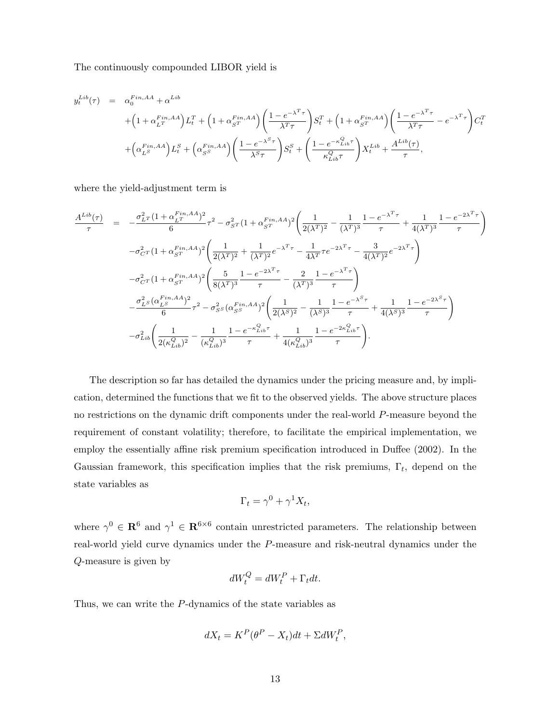The continuously compounded LIBOR yield is

$$
y_t^{Lib}(\tau) = \alpha_0^{Fin,AA} + \alpha^{Lib}
$$
  
+  $\left(1 + \alpha_{LT}^{Fin,AA}\right)L_t^T + \left(1 + \alpha_{ST}^{Fin,AA}\right)\left(\frac{1 - e^{-\lambda^T \tau}}{\lambda^T \tau}\right)S_t^T + \left(1 + \alpha_{ST}^{Fin,AA}\right)\left(\frac{1 - e^{-\lambda^T \tau}}{\lambda^T \tau} - e^{-\lambda^T \tau}\right)C_t^T$   
+  $\left(\alpha_{LS}^{Fin,AA}\right)L_t^S + \left(\alpha_{SS}^{Fin,AA}\right)\left(\frac{1 - e^{-\lambda^S \tau}}{\lambda^S \tau}\right)S_t^S + \left(\frac{1 - e^{-\kappa_{Lib}^Q \tau}}{\kappa_{Lib}^Q \tau}\right)X_t^{Lib} + \frac{A^{Lib}(\tau)}{\tau},$ 

where the yield-adjustment term is

$$
\frac{A^{Lib}(\tau)}{\tau} = -\frac{\sigma_L^2 \tau (1 + \alpha_{LT}^{Fin,AA})^2}{6} \tau^2 - \sigma_S^2 \tau (1 + \alpha_{ST}^{Fin,AA})^2 \left( \frac{1}{2(\lambda^T)^2} - \frac{1}{(\lambda^T)^3} \frac{1 - e^{-\lambda^T \tau}}{\tau} + \frac{1}{4(\lambda^T)^3} \frac{1 - e^{-2\lambda^T \tau}}{\tau} \right) \n- \sigma_C^2 \tau (1 + \alpha_{ST}^{Fin,AA})^2 \left( \frac{1}{2(\lambda^T)^2} + \frac{1}{(\lambda^T)^2} e^{-\lambda^T \tau} - \frac{1}{4\lambda^T} \tau e^{-2\lambda^T \tau} - \frac{3}{4(\lambda^T)^2} e^{-2\lambda^T \tau} \right) \n- \sigma_C^2 \tau (1 + \alpha_{ST}^{Fin,AA})^2 \left( \frac{5}{8(\lambda^T)^3} \frac{1 - e^{-2\lambda^T \tau}}{\tau} - \frac{2}{(\lambda^T)^3} \frac{1 - e^{-\lambda^T \tau}}{\tau} \right) \n- \frac{\sigma_L^2 s (\alpha_{LS}^{Fin,AA})^2}{6} \tau^2 - \sigma_{SS}^2 (\alpha_{SS}^{Fin,AA})^2 \left( \frac{1}{2(\lambda^S)^2} - \frac{1}{(\lambda^S)^3} \frac{1 - e^{-\lambda^S \tau}}{\tau} + \frac{1}{4(\lambda^S)^3} \frac{1 - e^{-2\lambda^S \tau}}{\tau} \right) \n- \sigma_{Lib}^2 \left( \frac{1}{2(\kappa_{Lib}^Q)^2} - \frac{1}{(\kappa_{Lib}^Q)^3} \frac{1 - e^{-\kappa_{Lib}^Q \tau}}{\tau} + \frac{1}{4(\kappa_{Lib}^Q)^3} \frac{1 - e^{-2\kappa_{Lib}^Q \tau}}{\tau} \right).
$$

The description so far has detailed the dynamics under the pricing measure and, by implication, determined the functions that we fit to the observed yields. The above structure places no restrictions on the dynamic drift components under the real-world P-measure beyond the requirement of constant volatility; therefore, to facilitate the empirical implementation, we employ the essentially affine risk premium specification introduced in Duffee (2002). In the Gaussian framework, this specification implies that the risk premiums,  $\Gamma_t$ , depend on the state variables as

$$
\Gamma_t = \gamma^0 + \gamma^1 X_t,
$$

where  $\gamma^0 \in \mathbb{R}^6$  and  $\gamma^1 \in \mathbb{R}^{6 \times 6}$  contain unrestricted parameters. The relationship between real-world yield curve dynamics under the P-measure and risk-neutral dynamics under the Q-measure is given by

$$
dW_t^Q = dW_t^P + \Gamma_t dt.
$$

Thus, we can write the P-dynamics of the state variables as

$$
dX_t = K^P(\theta^P - X_t)dt + \Sigma dW_t^P,
$$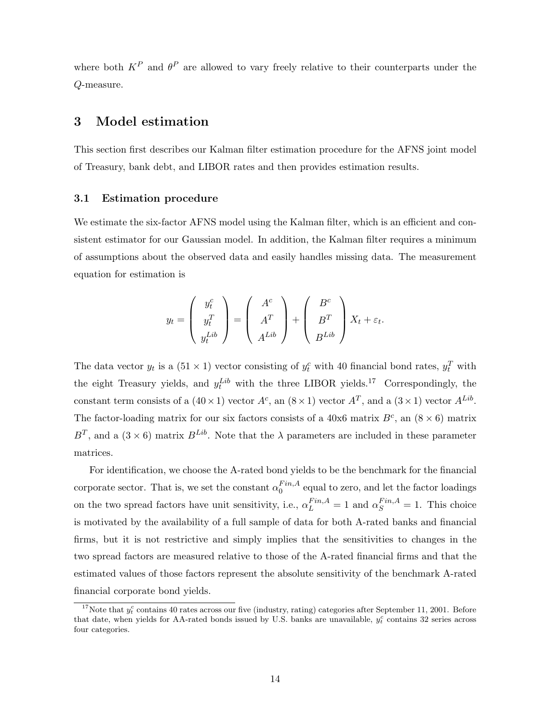where both  $K^P$  and  $\theta^P$  are allowed to vary freely relative to their counterparts under the Q-measure.

## 3 Model estimation

This section first describes our Kalman filter estimation procedure for the AFNS joint model of Treasury, bank debt, and LIBOR rates and then provides estimation results.

#### 3.1 Estimation procedure

We estimate the six-factor AFNS model using the Kalman filter, which is an efficient and consistent estimator for our Gaussian model. In addition, the Kalman filter requires a minimum of assumptions about the observed data and easily handles missing data. The measurement equation for estimation is

$$
y_t = \begin{pmatrix} y_t^c \\ y_t^T \\ y_t^{Lib} \end{pmatrix} = \begin{pmatrix} A^c \\ A^T \\ A^{Lib} \end{pmatrix} + \begin{pmatrix} B^c \\ B^T \\ B^{Lib} \end{pmatrix} X_t + \varepsilon_t.
$$

The data vector  $y_t$  is a  $(51 \times 1)$  vector consisting of  $y_t^c$  with 40 financial bond rates,  $y_t^T$  with the eight Treasury yields, and  $y_t^{Lib}$  with the three LIBOR yields.<sup>17</sup> Correspondingly, the constant term consists of a  $(40 \times 1)$  vector  $A^c$ , an  $(8 \times 1)$  vector  $A^T$ , and a  $(3 \times 1)$  vector  $A^{Lib}$ . The factor-loading matrix for our six factors consists of a 40x6 matrix  $B^c$ , an  $(8 \times 6)$  matrix  $B<sup>T</sup>$ , and a  $(3 \times 6)$  matrix  $B<sup>Lib</sup>$ . Note that the  $\lambda$  parameters are included in these parameter matrices.

For identification, we choose the A-rated bond yields to be the benchmark for the financial corporate sector. That is, we set the constant  $\alpha_0^{Fin,A}$  $_{0}^{F\,m,A}$  equal to zero, and let the factor loadings on the two spread factors have unit sensitivity, i.e.,  $\alpha_L^{Fin,A} = 1$  and  $\alpha_S^{Fin,A} = 1$ . This choice is motivated by the availability of a full sample of data for both A-rated banks and financial firms, but it is not restrictive and simply implies that the sensitivities to changes in the two spread factors are measured relative to those of the A-rated financial firms and that the estimated values of those factors represent the absolute sensitivity of the benchmark A-rated financial corporate bond yields.

<sup>&</sup>lt;sup>17</sup>Note that  $y_t^c$  contains 40 rates across our five (industry, rating) categories after September 11, 2001. Before that date, when yields for AA-rated bonds issued by U.S. banks are unavailable,  $y_t^c$  contains 32 series across four categories.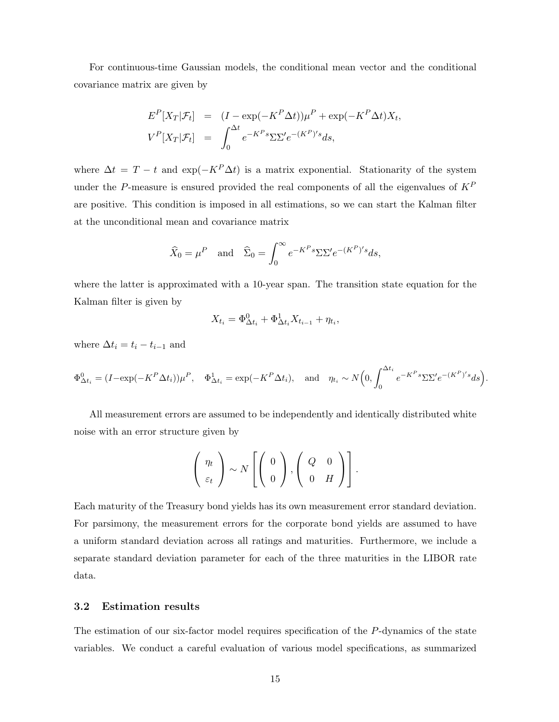For continuous-time Gaussian models, the conditional mean vector and the conditional covariance matrix are given by

$$
E^{P}[X_T|\mathcal{F}_t] = (I - \exp(-K^P \Delta t))\mu^P + \exp(-K^P \Delta t)X_t,
$$
  
\n
$$
V^{P}[X_T|\mathcal{F}_t] = \int_0^{\Delta t} e^{-K^P s} \Sigma \Sigma' e^{-(K^P)'s} ds,
$$

where  $\Delta t = T - t$  and exp( $-K^P \Delta t$ ) is a matrix exponential. Stationarity of the system under the P-measure is ensured provided the real components of all the eigenvalues of  $K^P$ are positive. This condition is imposed in all estimations, so we can start the Kalman filter at the unconditional mean and covariance matrix

$$
\widehat{X}_0 = \mu^P
$$
 and  $\widehat{\Sigma}_0 = \int_0^\infty e^{-K^P s} \Sigma \Sigma' e^{-(K^P)'s} ds$ ,

where the latter is approximated with a 10-year span. The transition state equation for the Kalman filter is given by

$$
X_{t_i} = \Phi_{\Delta t_i}^0 + \Phi_{\Delta t_i}^1 X_{t_{i-1}} + \eta_{t_i},
$$

where  $\Delta t_i = t_i - t_{i-1}$  and

$$
\Phi^0_{\Delta t_i} = (I - \exp(-K^P \Delta t_i))\mu^P, \quad \Phi^1_{\Delta t_i} = \exp(-K^P \Delta t_i), \quad \text{and} \quad \eta_{t_i} \sim N\Big(0, \int_0^{\Delta t_i} e^{-K^P s} \Sigma \Sigma' e^{-(K^P)'s} ds\Big).
$$

All measurement errors are assumed to be independently and identically distributed white noise with an error structure given by

$$
\left(\begin{array}{c}\eta_t \\ \varepsilon_t\end{array}\right)\sim N\left[\left(\begin{array}{c}0 \\ 0\end{array}\right), \left(\begin{array}{cc}Q & 0 \\ 0 & H\end{array}\right)\right].
$$

Each maturity of the Treasury bond yields has its own measurement error standard deviation. For parsimony, the measurement errors for the corporate bond yields are assumed to have a uniform standard deviation across all ratings and maturities. Furthermore, we include a separate standard deviation parameter for each of the three maturities in the LIBOR rate data.

#### 3.2 Estimation results

The estimation of our six-factor model requires specification of the P-dynamics of the state variables. We conduct a careful evaluation of various model specifications, as summarized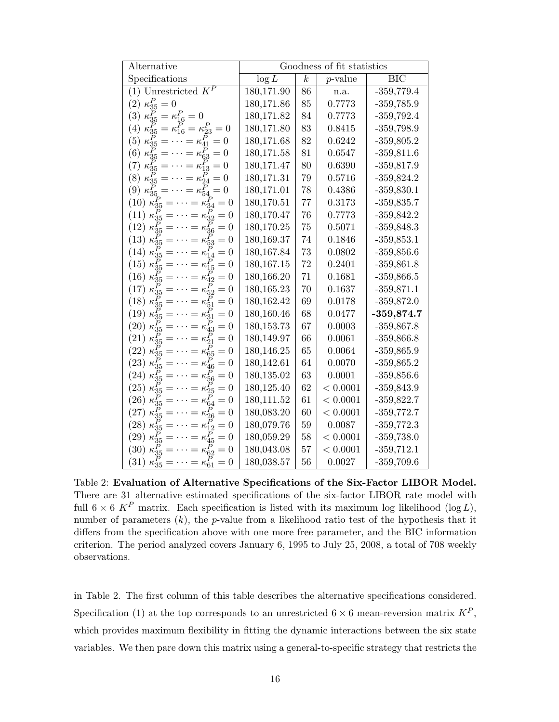| Alternative                                                                   |              |                | Goodness of fit statistics |                  |
|-------------------------------------------------------------------------------|--------------|----------------|----------------------------|------------------|
| Specifications                                                                | $\log L$     | $\overline{k}$ | $p$ -value                 | $\overline{BIC}$ |
| (1) Unrestricted $K^P$                                                        | 180,171.90   | 86             | n.a.                       | $-359,779.4$     |
| $(2) \kappa_{35}^P = 0$                                                       | 180,171.86   | 85             | 0.7773                     | $-359,785.9$     |
| $\kappa_{35}^P = \kappa_{16}^P = 0$<br>(3)                                    | 180,171.82   | 84             | 0.7773                     | $-359,792.4$     |
| (4) $\kappa_{35}^P = \kappa_{16}^P = \kappa_{23}^P = 0$                       | 180,171.80   | 83             | 0.8415                     | $-359,798.9$     |
| $\kappa_{35}^{\overline{P}} = \cdots = \kappa_{41}^{\overline{P}} = 0$<br>(5) | 180,171.68   | 82             | 0.6242                     | $-359,805.2$     |
| (6) $\kappa_{35}^P = \cdots = \kappa_{63}^P = 0$                              | 180,171.58   | 81             | 0.6547                     | $-359,811.6$     |
| $\kappa_{35}^P = \cdots = \kappa_{13}^P = 0$<br>(7)                           | 180,171.47   | 80             | 0.6390                     | $-359,817.9$     |
| (8) $\kappa_{35}^P = \cdots = \kappa_{24}^P = 0$                              | 180,171.31   | 79             | 0.5716                     | $-359,824.2$     |
| (9) $\kappa_{35}^{\overline{P}} = \cdots = \kappa_{54}^{\overline{P}} = 0$    | 180,171.01   | 78             | 0.4386                     | $-359,830.1$     |
| $(10) \kappa_{35}^P = \cdots = \kappa_{34}^P = 0$                             | 180,170.51   | 77             | 0.3173                     | $-359,835.7$     |
| $\kappa_{35}^P = \cdots = \kappa_{32}^P = 0$<br>(11)                          | 180,170.47   | 76             | 0.7773                     | $-359,842.2$     |
| $(12) \kappa_{35}^P = \cdots = \kappa_{36}^P = 0$                             | 180,170.25   | 75             | 0.5071                     | $-359,848.3$     |
| (13) $\kappa_{35}^{\widetilde{P}} = \cdots = \kappa_{53}^{\widetilde{P}} = 0$ | 180,169.37   | 74             | 0.1846                     | $-359,853.1$     |
| $(14) \kappa_{35}^P =$<br>$\cdots = \kappa_{14}^P = 0$                        | 180, 167.84  | 73             | 0.0802                     | $-359,856.6$     |
| $(15) \kappa_{35}^P = \cdots = \kappa_{15}^P = 0$                             | 180, 167. 15 | 72             | 0.2401                     | $-359,861.8$     |
| $(16) \kappa_{35}^P = \cdots = \kappa_{42}^P = 0$                             | 180,166.20   | 71             | 0.1681                     | $-359,866.5$     |
| (17) $\kappa_{35}^{\overline{P}} = \cdots = \kappa_{52}^{\overline{P}} = 0$   | 180,165.23   | 70             | 0.1637                     | $-359,871.1$     |
| (18) $\kappa_{35}^P = \cdots = \kappa_{51}^P = 0$                             | 180,162.42   | 69             | 0.0178                     | $-359,872.0$     |
| $(19) \kappa_{35}^P = \cdots = \kappa_{31}^P = 0$                             | 180,160.46   | 68             | 0.0477                     | $-359,874.7$     |
| $(20) \kappa_{35}^P = \cdots = \kappa_{43}^P = 0$                             | 180,153.73   | 67             | 0.0003                     | $-359,867.8$     |
| (21) $\kappa_{35}^{\widetilde{P}} = \cdots = \kappa_{21}^{\widetilde{P}} = 0$ | 180,149.97   | 66             | 0.0061                     | $-359,866.8$     |
| $\cdots = \kappa_{65}^P = 0$<br>$(22) \; \kappa_{35}^P =$                     | 180,146.25   | 65             | 0.0064                     | $-359,865.9$     |
| $(23) \kappa_{35}^P = \cdots = \kappa_{46}^P = 0$                             | 180,142.61   | 64             | 0.0070                     | $-359,865.2$     |
| $(24) \kappa_{35}^P = \cdots = \kappa_{56}^P = 0$                             | 180,135.02   | 63             | 0.0001                     | $-359,856.6$     |
| $(25) \kappa_{35}^P = \cdots = \kappa_{25}^P = 0$                             | 180,125.40   | 62             | < 0.0001                   | $-359,843.9$     |
| (26)<br>$\kappa_{35}^P = \cdots = \kappa_{64}^P = 0$                          | 180,111.52   | 61             | < 0.0001                   | $-359,822.7$     |
| (27)<br>$\kappa_{35}^P = \cdots = \kappa_{26}^P = 0$                          | 180,083.20   | 60             | < 0.0001                   | $-359,772.7$     |
| $(28) \kappa_{35}^P = \cdots = \kappa_{12}^P = 0$                             | 180,079.76   | 59             | 0.0087                     | $-359,772.3$     |
| (29) $\kappa_{35}^{\widetilde{P}} = \cdots = \kappa_{45}^{\widetilde{P}} = 0$ | 180,059.29   | 58             | < 0.0001                   | $-359,738.0$     |
| $(30) \kappa_{35}^P = \cdots = \kappa_{62}^P = 0$                             | 180,043.08   | 57             | < 0.0001                   | $-359,712.1$     |
| (31) $\kappa_{35}^P = \cdots = \kappa_{61}^P = 0$                             | 180,038.57   | 56             | 0.0027                     | $-359,709.6$     |

Table 2: Evaluation of Alternative Specifications of the Six-Factor LIBOR Model. There are 31 alternative estimated specifications of the six-factor LIBOR rate model with full  $6 \times 6$  K<sup>P</sup> matrix. Each specification is listed with its maximum log likelihood (log L), number of parameters  $(k)$ , the p-value from a likelihood ratio test of the hypothesis that it differs from the specification above with one more free parameter, and the BIC information criterion. The period analyzed covers January 6, 1995 to July 25, 2008, a total of 708 weekly observations.

in Table 2. The first column of this table describes the alternative specifications considered. Specification (1) at the top corresponds to an unrestricted  $6 \times 6$  mean-reversion matrix  $K^P$ , which provides maximum flexibility in fitting the dynamic interactions between the six state variables. We then pare down this matrix using a general-to-specific strategy that restricts the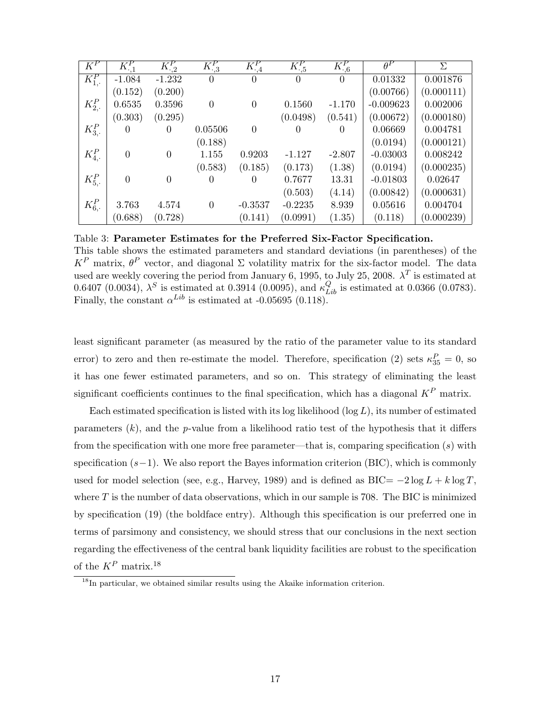| $K^P$           | $K_{\cdot,1}^P$ | $K_{.2}^P$ | $K_{\cdot,3}^P$ | $K^P_{\cdot}$<br>$\cdot .4$ | $\overline{K^P_{\cdot,5}}$ | $K_{\cdot,6}^P$ | $\theta^P$  | Σ          |
|-----------------|-----------------|------------|-----------------|-----------------------------|----------------------------|-----------------|-------------|------------|
| $K_{1,.}^P$     | $-1.084$        | $-1.232$   | $\theta$        | $\theta$                    | $\Omega$                   | $\theta$        | 0.01332     | 0.001876   |
|                 | (0.152)         | (0.200)    |                 |                             |                            |                 | (0.00766)   | (0.000111) |
| $K_{2}^P$       | 0.6535          | 0.3596     | $\theta$        | $\theta$                    | 0.1560                     | $-1.170$        | $-0.009623$ | 0.002006   |
|                 | (0.303)         | (0.295)    |                 |                             | (0.0498)                   | (0.541)         | (0.00672)   | (0.000180) |
| $K_{3}^P$       | 0               | $\Omega$   | 0.05506         | $\overline{0}$              | $\Omega$                   | $\overline{0}$  | 0.06669     | 0.004781   |
|                 |                 |            | (0.188)         |                             |                            |                 | (0.0194)    | (0.000121) |
| $K_{4}^P$ .     | $\theta$        | $\theta$   | 1.155           | 0.9203                      | $-1.127$                   | $-2.807$        | $-0.03003$  | 0.008242   |
|                 |                 |            | (0.583)         | (0.185)                     | (0.173)                    | (1.38)          | (0.0194)    | (0.000235) |
| $K_{5,\cdot}^P$ | $\theta$        | $\theta$   | 0               | $\Omega$                    | 0.7677                     | 13.31           | $-0.01803$  | 0.02647    |
|                 |                 |            |                 |                             | (0.503)                    | (4.14)          | (0.00842)   | (0.000631) |
| $K_{6}^P$       | 3.763           | 4.574      | $\theta$        | $-0.3537$                   | $-0.2235$                  | 8.939           | 0.05616     | 0.004704   |
|                 | (0.688)         | (0.728)    |                 | (0.141)                     | (0.0991)                   | (1.35)          | (0.118)     | (0.000239) |

Table 3: Parameter Estimates for the Preferred Six-Factor Specification.

This table shows the estimated parameters and standard deviations (in parentheses) of the  $K^P$  matrix,  $\theta^P$  vector, and diagonal  $\Sigma$  volatility matrix for the six-factor model. The data used are weekly covering the period from January 6, 1995, to July 25, 2008.  $\lambda^T$  is estimated at 0.6407 (0.0034),  $\lambda^S$  is estimated at 0.3914 (0.0095), and  $\kappa_{Lib}^Q$  is estimated at 0.0366 (0.0783). Finally, the constant  $\alpha^{Lib}$  is estimated at -0.05695 (0.118).

least significant parameter (as measured by the ratio of the parameter value to its standard error) to zero and then re-estimate the model. Therefore, specification (2) sets  $\kappa_{35}^P = 0$ , so it has one fewer estimated parameters, and so on. This strategy of eliminating the least significant coefficients continues to the final specification, which has a diagonal  $K^P$  matrix.

Each estimated specification is listed with its log likelihood  $(\log L)$ , its number of estimated parameters  $(k)$ , and the p-value from a likelihood ratio test of the hypothesis that it differs from the specification with one more free parameter—that is, comparing specification (s) with specification  $(s-1)$ . We also report the Bayes information criterion (BIC), which is commonly used for model selection (see, e.g., Harvey, 1989) and is defined as  $BIC = -2 \log L + k \log T$ , where T is the number of data observations, which in our sample is 708. The BIC is minimized by specification (19) (the boldface entry). Although this specification is our preferred one in terms of parsimony and consistency, we should stress that our conclusions in the next section regarding the effectiveness of the central bank liquidity facilities are robust to the specification of the  $K^P$  matrix.<sup>18</sup>

<sup>&</sup>lt;sup>18</sup>In particular, we obtained similar results using the Akaike information criterion.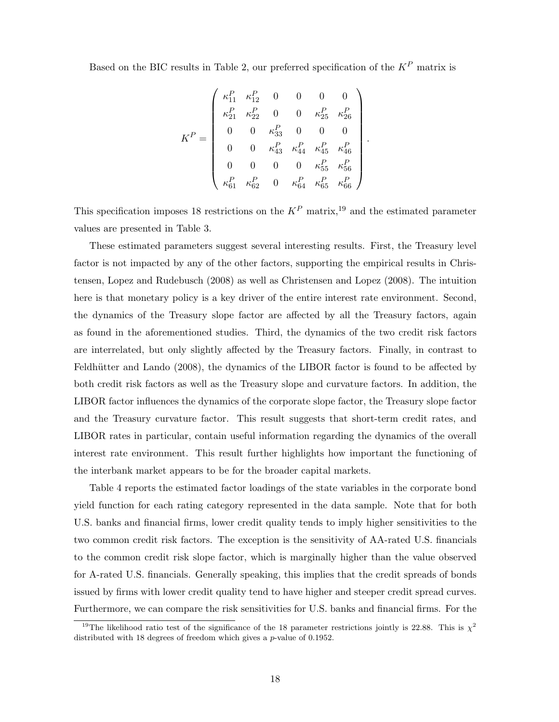Based on the BIC results in Table 2, our preferred specification of the  $K^P$  matrix is

$$
K^{P} = \begin{pmatrix} \kappa_{11}^{P} & \kappa_{12}^{P} & 0 & 0 & 0 & 0 \\ \kappa_{21}^{P} & \kappa_{22}^{P} & 0 & 0 & \kappa_{25}^{P} & \kappa_{26}^{P} \\ 0 & 0 & \kappa_{33}^{P} & 0 & 0 & 0 \\ 0 & 0 & \kappa_{43}^{P} & \kappa_{44}^{P} & \kappa_{45}^{P} & \kappa_{46}^{P} \\ 0 & 0 & 0 & 0 & \kappa_{55}^{P} & \kappa_{56}^{P} \\ \kappa_{61}^{P} & \kappa_{62}^{P} & 0 & \kappa_{64}^{P} & \kappa_{65}^{P} & \kappa_{66}^{P} \end{pmatrix}
$$

.

This specification imposes 18 restrictions on the  $K^P$  matrix,<sup>19</sup> and the estimated parameter values are presented in Table 3.

These estimated parameters suggest several interesting results. First, the Treasury level factor is not impacted by any of the other factors, supporting the empirical results in Christensen, Lopez and Rudebusch (2008) as well as Christensen and Lopez (2008). The intuition here is that monetary policy is a key driver of the entire interest rate environment. Second, the dynamics of the Treasury slope factor are affected by all the Treasury factors, again as found in the aforementioned studies. Third, the dynamics of the two credit risk factors are interrelated, but only slightly affected by the Treasury factors. Finally, in contrast to Feldhütter and Lando (2008), the dynamics of the LIBOR factor is found to be affected by both credit risk factors as well as the Treasury slope and curvature factors. In addition, the LIBOR factor influences the dynamics of the corporate slope factor, the Treasury slope factor and the Treasury curvature factor. This result suggests that short-term credit rates, and LIBOR rates in particular, contain useful information regarding the dynamics of the overall interest rate environment. This result further highlights how important the functioning of the interbank market appears to be for the broader capital markets.

Table 4 reports the estimated factor loadings of the state variables in the corporate bond yield function for each rating category represented in the data sample. Note that for both U.S. banks and financial firms, lower credit quality tends to imply higher sensitivities to the two common credit risk factors. The exception is the sensitivity of AA-rated U.S. financials to the common credit risk slope factor, which is marginally higher than the value observed for A-rated U.S. financials. Generally speaking, this implies that the credit spreads of bonds issued by firms with lower credit quality tend to have higher and steeper credit spread curves. Furthermore, we can compare the risk sensitivities for U.S. banks and financial firms. For the

<sup>&</sup>lt;sup>19</sup>The likelihood ratio test of the significance of the 18 parameter restrictions jointly is 22.88. This is  $\chi^2$ distributed with 18 degrees of freedom which gives a  $p$ -value of 0.1952.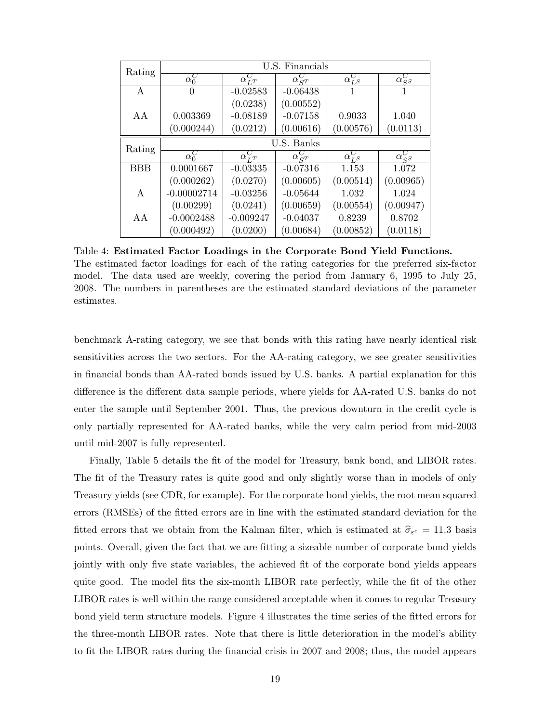| Rating     | U.S. Financials         |                 |                 |                 |                 |  |  |  |  |
|------------|-------------------------|-----------------|-----------------|-----------------|-----------------|--|--|--|--|
|            | $\alpha_0^C$            | $\alpha_{LT}^C$ | $\alpha_{ST}^C$ | $\alpha_{LS}^C$ | $\alpha_{SS}^C$ |  |  |  |  |
| A          |                         | $-0.02583$      | $-0.06438$      |                 |                 |  |  |  |  |
|            |                         | (0.0238)        | (0.00552)       |                 |                 |  |  |  |  |
| AA         | 0.003369                | $-0.08189$      | $-0.07158$      | 0.9033          | 1.040           |  |  |  |  |
|            | (0.000244)              | (0.0212)        | (0.00616)       | (0.00576)       | (0.0113)        |  |  |  |  |
| Rating     | U.S. Banks              |                 |                 |                 |                 |  |  |  |  |
|            | $\overline{\alpha}_0^C$ | $\alpha_{TT}^C$ | $\alpha_{ST}^C$ | $\alpha_{LS}^C$ | $\alpha_{SS}^C$ |  |  |  |  |
| <b>BBB</b> | 0.0001667               | $-0.03335$      | $-0.07316$      | 1.153           | 1.072           |  |  |  |  |
|            | (0.000262)              | (0.0270)        | (0.00605)       | (0.00514)       | (0.00965)       |  |  |  |  |
| A          | $-0.00002714$           | $-0.03256$      | $-0.05644$      | 1.032           | 1.024           |  |  |  |  |
|            | (0.00299)               | (0.0241)        | (0.00659)       | (0.00554)       | (0.00947)       |  |  |  |  |
| AA         | $-0.0002488$            | $-0.009247$     | $-0.04037$      | 0.8239          | 0.8702          |  |  |  |  |
|            | (0.000492)              | (0.0200)        | (0.00684)       | (0.00852)       | (0.0118)        |  |  |  |  |

Table 4: Estimated Factor Loadings in the Corporate Bond Yield Functions. The estimated factor loadings for each of the rating categories for the preferred six-factor model. The data used are weekly, covering the period from January 6, 1995 to July 25, 2008. The numbers in parentheses are the estimated standard deviations of the parameter estimates.

benchmark A-rating category, we see that bonds with this rating have nearly identical risk sensitivities across the two sectors. For the AA-rating category, we see greater sensitivities in financial bonds than AA-rated bonds issued by U.S. banks. A partial explanation for this difference is the different data sample periods, where yields for AA-rated U.S. banks do not enter the sample until September 2001. Thus, the previous downturn in the credit cycle is only partially represented for AA-rated banks, while the very calm period from mid-2003 until mid-2007 is fully represented.

Finally, Table 5 details the fit of the model for Treasury, bank bond, and LIBOR rates. The fit of the Treasury rates is quite good and only slightly worse than in models of only Treasury yields (see CDR, for example). For the corporate bond yields, the root mean squared errors (RMSEs) of the fitted errors are in line with the estimated standard deviation for the fitted errors that we obtain from the Kalman filter, which is estimated at  $\hat{\sigma}_{\varepsilon^c} = 11.3$  basis points. Overall, given the fact that we are fitting a sizeable number of corporate bond yields jointly with only five state variables, the achieved fit of the corporate bond yields appears quite good. The model fits the six-month LIBOR rate perfectly, while the fit of the other LIBOR rates is well within the range considered acceptable when it comes to regular Treasury bond yield term structure models. Figure 4 illustrates the time series of the fitted errors for the three-month LIBOR rates. Note that there is little deterioration in the model's ability to fit the LIBOR rates during the financial crisis in 2007 and 2008; thus, the model appears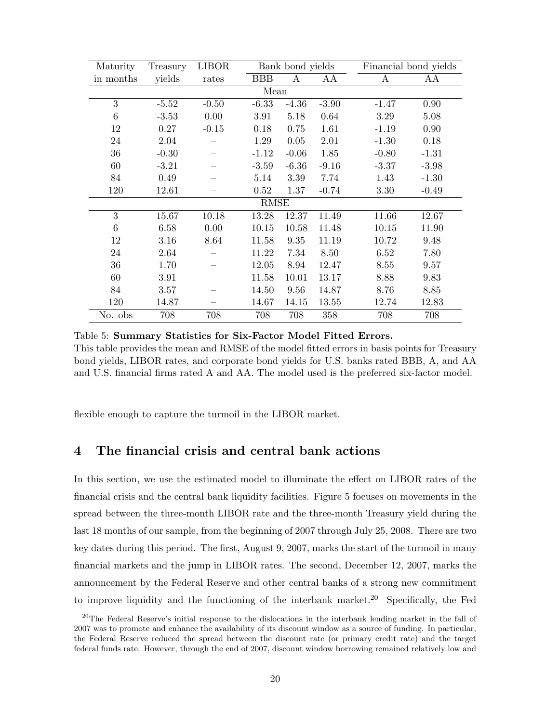| Maturity  | Treasury | <b>LIBOR</b> |             | Bank bond yields |         |         | Financial bond yields |  |  |  |
|-----------|----------|--------------|-------------|------------------|---------|---------|-----------------------|--|--|--|
| in months | yields   | rates        | <b>BBB</b>  | А                | AA      | А       | AА                    |  |  |  |
|           | Mean     |              |             |                  |         |         |                       |  |  |  |
| 3         | $-5.52$  | $-0.50$      | $-6.33$     | $-4.36$          | $-3.90$ | $-1.47$ | 0.90                  |  |  |  |
| 6         | $-3.53$  | 0.00         | 3.91        | 5.18             | 0.64    | 3.29    | 5.08                  |  |  |  |
| 12        | 0.27     | $-0.15$      | 0.18        | 0.75             | 1.61    | $-1.19$ | 0.90                  |  |  |  |
| 24        | 2.04     |              | 1.29        | 0.05             | 2.01    | $-1.30$ | 0.18                  |  |  |  |
| 36        | $-0.30$  |              | $-1.12$     | $-0.06$          | 1.85    | $-0.80$ | $-1.31$               |  |  |  |
| 60        | $-3.21$  |              | $-3.59$     | $-6.36$          | $-9.16$ | $-3.37$ | $-3.98$               |  |  |  |
| 84        | 0.49     |              | 5.14        | 3.39             | 7.74    | 1.43    | $-1.30$               |  |  |  |
| 120       | 12.61    |              | 0.52        | 1.37             | $-0.74$ | 3.30    | $-0.49$               |  |  |  |
|           |          |              | <b>RMSE</b> |                  |         |         |                       |  |  |  |
| 3         | 15.67    | 10.18        | 13.28       | 12.37            | 11.49   | 11.66   | 12.67                 |  |  |  |
| 6         | 6.58     | 0.00         | 10.15       | 10.58            | 11.48   | 10.15   | 11.90                 |  |  |  |
| 12        | 3.16     | 8.64         | 11.58       | 9.35             | 11.19   | 10.72   | 9.48                  |  |  |  |
| 24        | 2.64     |              | 11.22       | 7.34             | 8.50    | 6.52    | 7.80                  |  |  |  |
| 36        | 1.70     |              | 12.05       | 8.94             | 12.47   | 8.55    | 9.57                  |  |  |  |
| 60        | 3.91     |              | 11.58       | 10.01            | 13.17   | 8.88    | 9.83                  |  |  |  |
| 84        | 3.57     |              | 14.50       | 9.56             | 14.87   | 8.76    | 8.85                  |  |  |  |
| 120       | 14.87    |              | 14.67       | 14.15            | 13.55   | 12.74   | 12.83                 |  |  |  |
| No. obs   | 708      | 708          | 708         | 708              | 358     | 708     | 708                   |  |  |  |

Table 5: Summary Statistics for Six-Factor Model Fitted Errors.

This table provides the mean and RMSE of the model fitted errors in basis points for Treasury bond yields, LIBOR rates, and corporate bond yields for U.S. banks rated BBB, A, and AA and U.S. financial firms rated A and AA. The model used is the preferred six-factor model.

flexible enough to capture the turmoil in the LIBOR market.

## 4 The financial crisis and central bank actions

In this section, we use the estimated model to illuminate the effect on LIBOR rates of the financial crisis and the central bank liquidity facilities. Figure 5 focuses on movements in the spread between the three-month LIBOR rate and the three-month Treasury yield during the last 18 months of our sample, from the beginning of 2007 through July 25, 2008. There are two key dates during this period. The first, August 9, 2007, marks the start of the turmoil in many financial markets and the jump in LIBOR rates. The second, December 12, 2007, marks the announcement by the Federal Reserve and other central banks of a strong new commitment to improve liquidity and the functioning of the interbank market.<sup>20</sup> Specifically, the Fed

<sup>&</sup>lt;sup>20</sup>The Federal Reserve's initial response to the dislocations in the interbank lending market in the fall of 2007 was to promote and enhance the availability of its discount window as a source of funding. In particular, the Federal Reserve reduced the spread between the discount rate (or primary credit rate) and the target federal funds rate. However, through the end of 2007, discount window borrowing remained relatively low and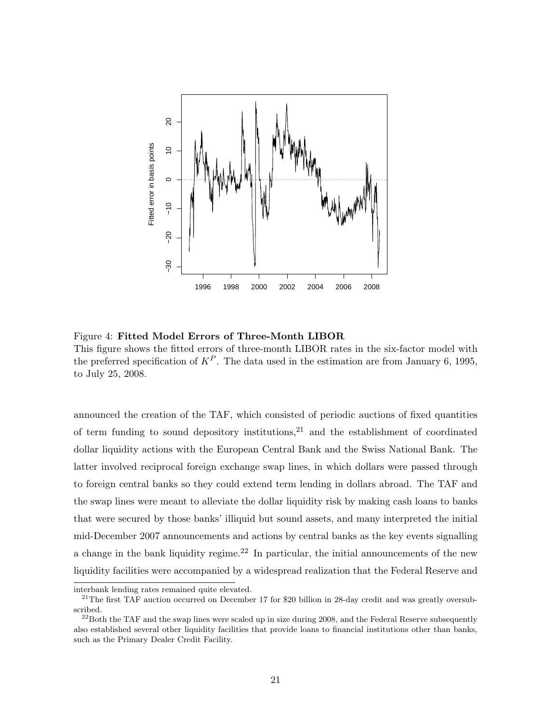

Figure 4: Fitted Model Errors of Three-Month LIBOR This figure shows the fitted errors of three-month LIBOR rates in the six-factor model with the preferred specification of  $K^P$ . The data used in the estimation are from January 6, 1995, to July 25, 2008.

announced the creation of the TAF, which consisted of periodic auctions of fixed quantities of term funding to sound depository institutions, $^{21}$  and the establishment of coordinated dollar liquidity actions with the European Central Bank and the Swiss National Bank. The latter involved reciprocal foreign exchange swap lines, in which dollars were passed through to foreign central banks so they could extend term lending in dollars abroad. The TAF and the swap lines were meant to alleviate the dollar liquidity risk by making cash loans to banks that were secured by those banks' illiquid but sound assets, and many interpreted the initial mid-December 2007 announcements and actions by central banks as the key events signalling a change in the bank liquidity regime.<sup>22</sup> In particular, the initial announcements of the new liquidity facilities were accompanied by a widespread realization that the Federal Reserve and

interbank lending rates remained quite elevated.

<sup>&</sup>lt;sup>21</sup>The first TAF auction occurred on December 17 for \$20 billion in 28-day credit and was greatly oversubscribed.

 $^{22}$ Both the TAF and the swap lines were scaled up in size during 2008, and the Federal Reserve subsequently also established several other liquidity facilities that provide loans to financial institutions other than banks, such as the Primary Dealer Credit Facility.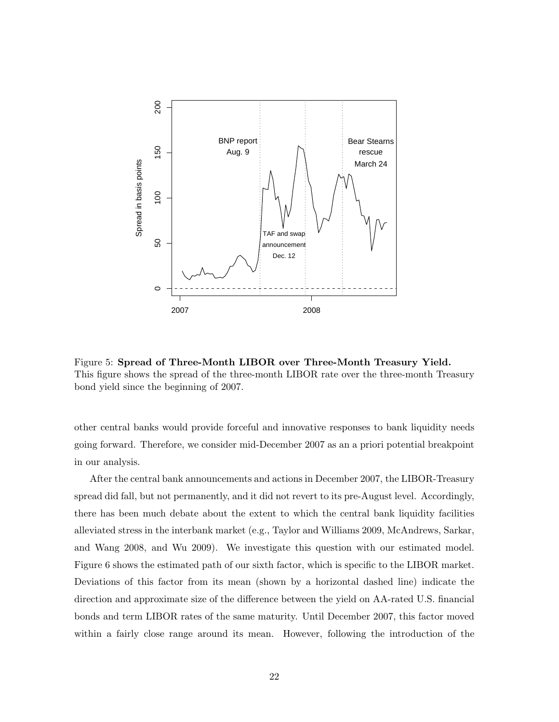

Figure 5: Spread of Three-Month LIBOR over Three-Month Treasury Yield. This figure shows the spread of the three-month LIBOR rate over the three-month Treasury bond yield since the beginning of 2007.

other central banks would provide forceful and innovative responses to bank liquidity needs going forward. Therefore, we consider mid-December 2007 as an a priori potential breakpoint in our analysis.

After the central bank announcements and actions in December 2007, the LIBOR-Treasury spread did fall, but not permanently, and it did not revert to its pre-August level. Accordingly, there has been much debate about the extent to which the central bank liquidity facilities alleviated stress in the interbank market (e.g., Taylor and Williams 2009, McAndrews, Sarkar, and Wang 2008, and Wu 2009). We investigate this question with our estimated model. Figure 6 shows the estimated path of our sixth factor, which is specific to the LIBOR market. Deviations of this factor from its mean (shown by a horizontal dashed line) indicate the direction and approximate size of the difference between the yield on AA-rated U.S. financial bonds and term LIBOR rates of the same maturity. Until December 2007, this factor moved within a fairly close range around its mean. However, following the introduction of the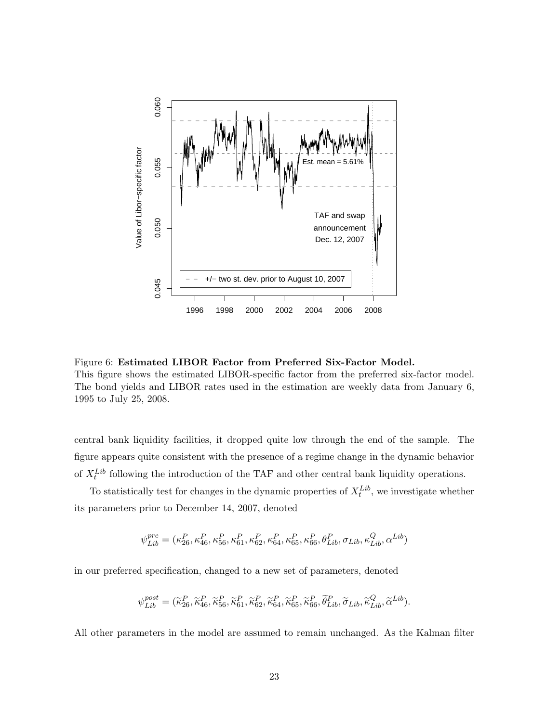

Figure 6: Estimated LIBOR Factor from Preferred Six-Factor Model. This figure shows the estimated LIBOR-specific factor from the preferred six-factor model. The bond yields and LIBOR rates used in the estimation are weekly data from January 6, 1995 to July 25, 2008.

central bank liquidity facilities, it dropped quite low through the end of the sample. The figure appears quite consistent with the presence of a regime change in the dynamic behavior of  $X_t^{Lib}$  following the introduction of the TAF and other central bank liquidity operations.

To statistically test for changes in the dynamic properties of  $X_t^{Lib}$ , we investigate whether its parameters prior to December 14, 2007, denoted

$$
\psi_{Lib}^{pre} = (\kappa_{26}^P, \kappa_{46}^P, \kappa_{56}^P, \kappa_{61}^P, \kappa_{62}^P, \kappa_{64}^P, \kappa_{65}^P, \kappa_{66}^P, \theta_{Lib}^P, \sigma_{Lib}, \kappa_{Lib}^Q, \alpha^{Lib})
$$

in our preferred specification, changed to a new set of parameters, denoted

$$
\psi^{post}_{Lib}=(\widetilde{\kappa}^P_{26},\widetilde{\kappa}^P_{46},\widetilde{\kappa}^P_{56},\widetilde{\kappa}^P_{61},\widetilde{\kappa}^P_{62},\widetilde{\kappa}^P_{64},\widetilde{\kappa}^P_{65},\widetilde{\kappa}^P_{66},\widetilde{\theta}^P_{Lib},\widetilde{\sigma}_{Lib},\widetilde{\kappa}^Q_{Lib},\widetilde{\alpha}^{Lib}).
$$

All other parameters in the model are assumed to remain unchanged. As the Kalman filter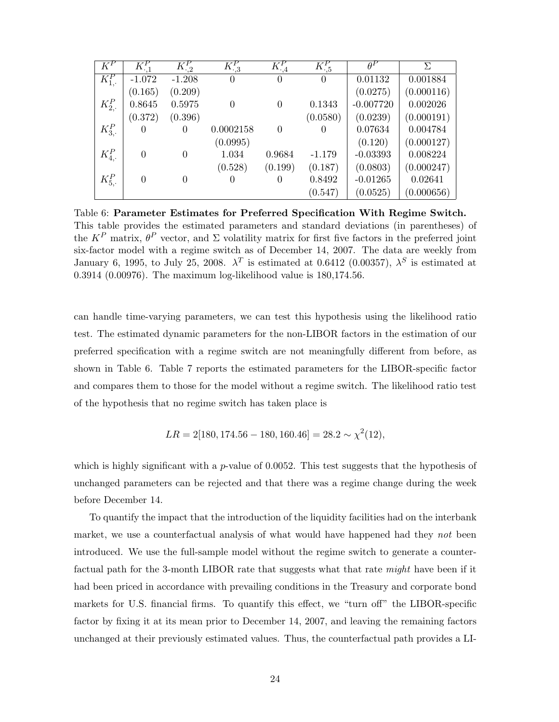| $K^P$           | $K_{\cdot,1}^P$ | $K_{\cdot,2}^P$ | $K_{\cdot,3}^P$ | $K_{\cdot,4}^P$ | $K_{\cdot,5}^P$ | $\theta^P$  | Σ          |
|-----------------|-----------------|-----------------|-----------------|-----------------|-----------------|-------------|------------|
| $K_{1,\cdot}^P$ | $-1.072$        | $-1.208$        | $\theta$        | $\theta$        | $\Omega$        | 0.01132     | 0.001884   |
|                 | (0.165)         | (0.209)         |                 |                 |                 | (0.0275)    | (0.000116) |
| $K_{2}^P$       | 0.8645          | 0.5975          | $\theta$        | $\theta$        | 0.1343          | $-0.007720$ | 0.002026   |
|                 | (0.372)         | (0.396)         |                 |                 | (0.0580)        | (0.0239)    | (0.000191) |
| $K_3^P$         | 0               | 0               | 0.0002158       | $\Omega$        | $\theta$        | 0.07634     | 0.004784   |
|                 |                 |                 | (0.0995)        |                 |                 | (0.120)     | (0.000127) |
| $K_{4,.}^P$     | $\overline{0}$  | $\theta$        | 1.034           | 0.9684          | $-1.179$        | $-0.03393$  | 0.008224   |
|                 |                 |                 | (0.528)         | (0.199)         | (0.187)         | (0.0803)    | (0.000247) |
| $K_{5}^P$       | $\overline{0}$  | $\theta$        | $\theta$        | $\theta$        | 0.8492          | $-0.01265$  | 0.02641    |
|                 |                 |                 |                 |                 | (0.547)         | (0.0525)    | (0.000656) |

Table 6: Parameter Estimates for Preferred Specification With Regime Switch. This table provides the estimated parameters and standard deviations (in parentheses) of the  $K^P$  matrix,  $\theta^P$  vector, and  $\Sigma$  volatility matrix for first five factors in the preferred joint six-factor model with a regime switch as of December 14, 2007. The data are weekly from January 6, 1995, to July 25, 2008.  $\lambda^T$  is estimated at 0.6412 (0.00357),  $\lambda^S$  is estimated at 0.3914 (0.00976). The maximum log-likelihood value is 180,174.56.

can handle time-varying parameters, we can test this hypothesis using the likelihood ratio test. The estimated dynamic parameters for the non-LIBOR factors in the estimation of our preferred specification with a regime switch are not meaningfully different from before, as shown in Table 6. Table 7 reports the estimated parameters for the LIBOR-specific factor and compares them to those for the model without a regime switch. The likelihood ratio test of the hypothesis that no regime switch has taken place is

$$
LR = 2[180, 174.56 - 180, 160.46] = 28.2 \sim \chi^2(12),
$$

which is highly significant with a  $p$ -value of 0.0052. This test suggests that the hypothesis of unchanged parameters can be rejected and that there was a regime change during the week before December 14.

To quantify the impact that the introduction of the liquidity facilities had on the interbank market, we use a counterfactual analysis of what would have happened had they not been introduced. We use the full-sample model without the regime switch to generate a counterfactual path for the 3-month LIBOR rate that suggests what that rate *might* have been if it had been priced in accordance with prevailing conditions in the Treasury and corporate bond markets for U.S. financial firms. To quantify this effect, we "turn off" the LIBOR-specific factor by fixing it at its mean prior to December 14, 2007, and leaving the remaining factors unchanged at their previously estimated values. Thus, the counterfactual path provides a LI-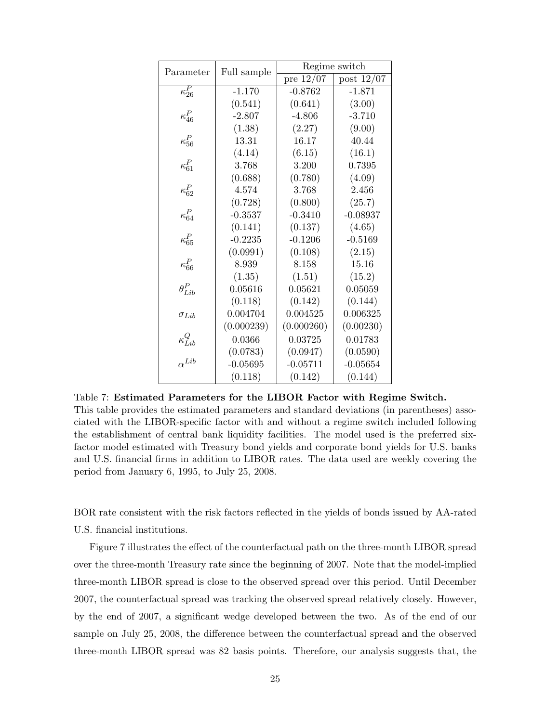| Parameter        | Full sample | Regime switch |              |  |
|------------------|-------------|---------------|--------------|--|
|                  |             | pre $12/07$   | post $12/07$ |  |
| $\kappa^P_{26}$  | $-1.170$    | $-0.8762$     | $-1.871$     |  |
|                  | (0.541)     | (0.641)       | (3.00)       |  |
| $\kappa^P_{46}$  | $-2.807$    | $-4.806$      | $-3.710$     |  |
|                  | (1.38)      | (2.27)        | (9.00)       |  |
| $\kappa_{56}^P$  | 13.31       | 16.17         | 40.44        |  |
|                  | (4.14)      | (6.15)        | (16.1)       |  |
| $\kappa_{61}^P$  | 3.768       | 3.200         | 0.7395       |  |
|                  | (0.688)     | (0.780)       | (4.09)       |  |
| $\kappa_{62}^P$  | 4.574       | 3.768         | 2.456        |  |
|                  | (0.728)     | (0.800)       | (25.7)       |  |
| $\kappa_{64}^P$  | $-0.3537$   | $-0.3410$     | $-0.08937$   |  |
|                  | (0.141)     | (0.137)       | (4.65)       |  |
| $\kappa_{65}^P$  | $-0.2235$   | $-0.1206$     | $-0.5169$    |  |
|                  | (0.0991)    | (0.108)       | (2.15)       |  |
| $\kappa_{66}^P$  | 8.939       | 8.158         | 15.16        |  |
|                  | (1.35)      | (1.51)        | (15.2)       |  |
| $\theta_{Lib}^P$ | 0.05616     | 0.05621       | 0.05059      |  |
|                  | (0.118)     | (0.142)       | (0.144)      |  |
| $\sigma_{Lib}$   | 0.004704    | 0.004525      | 0.006325     |  |
|                  | (0.000239)  | (0.000260)    | (0.00230)    |  |
| $\kappa^Q_{Lib}$ | 0.0366      | 0.03725       | 0.01783      |  |
|                  | (0.0783)    | (0.0947)      | (0.0590)     |  |
| $\alpha^{Lib}$   | $-0.05695$  | $-0.05711$    | $-0.05654$   |  |
|                  | (0.118)     | (0.142)       | (0.144)      |  |

Table 7: Estimated Parameters for the LIBOR Factor with Regime Switch. This table provides the estimated parameters and standard deviations (in parentheses) associated with the LIBOR-specific factor with and without a regime switch included following the establishment of central bank liquidity facilities. The model used is the preferred sixfactor model estimated with Treasury bond yields and corporate bond yields for U.S. banks and U.S. financial firms in addition to LIBOR rates. The data used are weekly covering the period from January 6, 1995, to July 25, 2008.

BOR rate consistent with the risk factors reflected in the yields of bonds issued by AA-rated U.S. financial institutions.

Figure 7 illustrates the effect of the counterfactual path on the three-month LIBOR spread over the three-month Treasury rate since the beginning of 2007. Note that the model-implied three-month LIBOR spread is close to the observed spread over this period. Until December 2007, the counterfactual spread was tracking the observed spread relatively closely. However, by the end of 2007, a significant wedge developed between the two. As of the end of our sample on July 25, 2008, the difference between the counterfactual spread and the observed three-month LIBOR spread was 82 basis points. Therefore, our analysis suggests that, the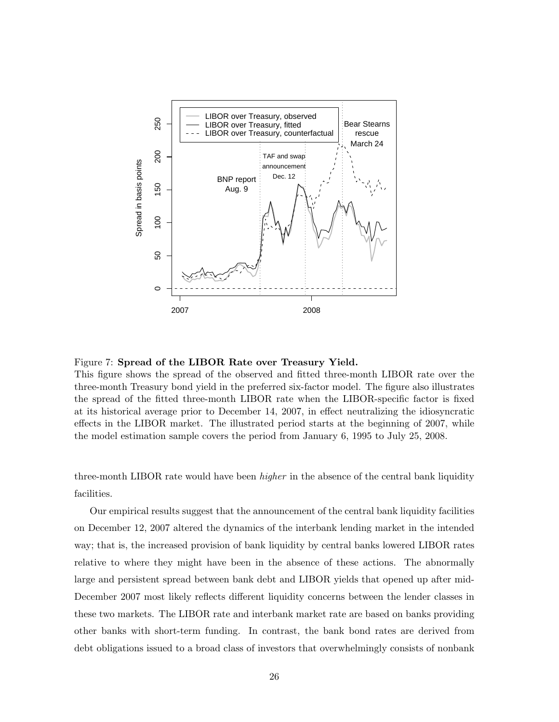

Figure 7: Spread of the LIBOR Rate over Treasury Yield.

This figure shows the spread of the observed and fitted three-month LIBOR rate over the three-month Treasury bond yield in the preferred six-factor model. The figure also illustrates the spread of the fitted three-month LIBOR rate when the LIBOR-specific factor is fixed at its historical average prior to December 14, 2007, in effect neutralizing the idiosyncratic effects in the LIBOR market. The illustrated period starts at the beginning of 2007, while the model estimation sample covers the period from January 6, 1995 to July 25, 2008.

three-month LIBOR rate would have been *higher* in the absence of the central bank liquidity facilities.

Our empirical results suggest that the announcement of the central bank liquidity facilities on December 12, 2007 altered the dynamics of the interbank lending market in the intended way; that is, the increased provision of bank liquidity by central banks lowered LIBOR rates relative to where they might have been in the absence of these actions. The abnormally large and persistent spread between bank debt and LIBOR yields that opened up after mid-December 2007 most likely reflects different liquidity concerns between the lender classes in these two markets. The LIBOR rate and interbank market rate are based on banks providing other banks with short-term funding. In contrast, the bank bond rates are derived from debt obligations issued to a broad class of investors that overwhelmingly consists of nonbank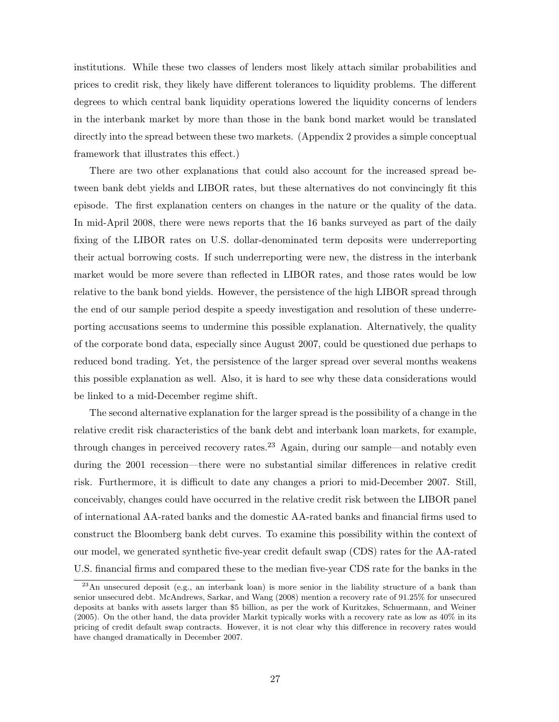institutions. While these two classes of lenders most likely attach similar probabilities and prices to credit risk, they likely have different tolerances to liquidity problems. The different degrees to which central bank liquidity operations lowered the liquidity concerns of lenders in the interbank market by more than those in the bank bond market would be translated directly into the spread between these two markets. (Appendix 2 provides a simple conceptual framework that illustrates this effect.)

There are two other explanations that could also account for the increased spread between bank debt yields and LIBOR rates, but these alternatives do not convincingly fit this episode. The first explanation centers on changes in the nature or the quality of the data. In mid-April 2008, there were news reports that the 16 banks surveyed as part of the daily fixing of the LIBOR rates on U.S. dollar-denominated term deposits were underreporting their actual borrowing costs. If such underreporting were new, the distress in the interbank market would be more severe than reflected in LIBOR rates, and those rates would be low relative to the bank bond yields. However, the persistence of the high LIBOR spread through the end of our sample period despite a speedy investigation and resolution of these underreporting accusations seems to undermine this possible explanation. Alternatively, the quality of the corporate bond data, especially since August 2007, could be questioned due perhaps to reduced bond trading. Yet, the persistence of the larger spread over several months weakens this possible explanation as well. Also, it is hard to see why these data considerations would be linked to a mid-December regime shift.

The second alternative explanation for the larger spread is the possibility of a change in the relative credit risk characteristics of the bank debt and interbank loan markets, for example, through changes in perceived recovery rates.<sup>23</sup> Again, during our sample—and notably even during the 2001 recession—there were no substantial similar differences in relative credit risk. Furthermore, it is difficult to date any changes a priori to mid-December 2007. Still, conceivably, changes could have occurred in the relative credit risk between the LIBOR panel of international AA-rated banks and the domestic AA-rated banks and financial firms used to construct the Bloomberg bank debt curves. To examine this possibility within the context of our model, we generated synthetic five-year credit default swap (CDS) rates for the AA-rated U.S. financial firms and compared these to the median five-year CDS rate for the banks in the

<sup>&</sup>lt;sup>23</sup>An unsecured deposit (e.g., an interbank loan) is more senior in the liability structure of a bank than senior unsecured debt. McAndrews, Sarkar, and Wang (2008) mention a recovery rate of 91.25% for unsecured deposits at banks with assets larger than \$5 billion, as per the work of Kuritzkes, Schuermann, and Weiner (2005). On the other hand, the data provider Markit typically works with a recovery rate as low as 40% in its pricing of credit default swap contracts. However, it is not clear why this difference in recovery rates would have changed dramatically in December 2007.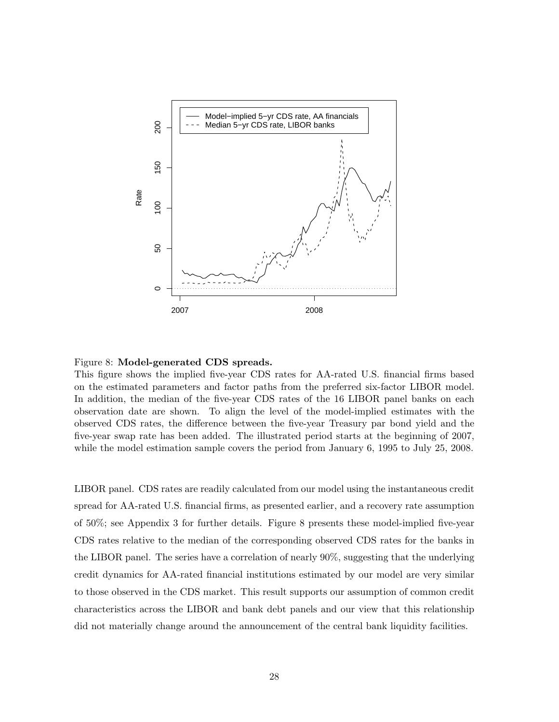

#### Figure 8: Model-generated CDS spreads.

This figure shows the implied five-year CDS rates for AA-rated U.S. financial firms based on the estimated parameters and factor paths from the preferred six-factor LIBOR model. In addition, the median of the five-year CDS rates of the 16 LIBOR panel banks on each observation date are shown. To align the level of the model-implied estimates with the observed CDS rates, the difference between the five-year Treasury par bond yield and the five-year swap rate has been added. The illustrated period starts at the beginning of 2007, while the model estimation sample covers the period from January 6, 1995 to July 25, 2008.

LIBOR panel. CDS rates are readily calculated from our model using the instantaneous credit spread for AA-rated U.S. financial firms, as presented earlier, and a recovery rate assumption of 50%; see Appendix 3 for further details. Figure 8 presents these model-implied five-year CDS rates relative to the median of the corresponding observed CDS rates for the banks in the LIBOR panel. The series have a correlation of nearly 90%, suggesting that the underlying credit dynamics for AA-rated financial institutions estimated by our model are very similar to those observed in the CDS market. This result supports our assumption of common credit characteristics across the LIBOR and bank debt panels and our view that this relationship did not materially change around the announcement of the central bank liquidity facilities.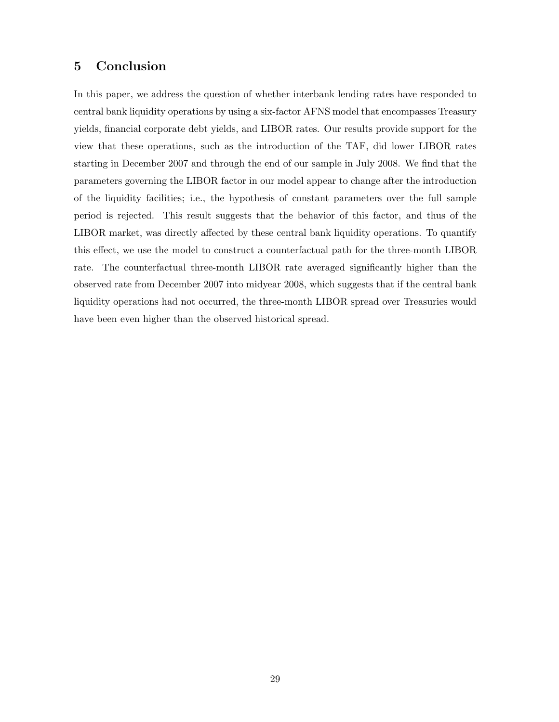## 5 Conclusion

In this paper, we address the question of whether interbank lending rates have responded to central bank liquidity operations by using a six-factor AFNS model that encompasses Treasury yields, financial corporate debt yields, and LIBOR rates. Our results provide support for the view that these operations, such as the introduction of the TAF, did lower LIBOR rates starting in December 2007 and through the end of our sample in July 2008. We find that the parameters governing the LIBOR factor in our model appear to change after the introduction of the liquidity facilities; i.e., the hypothesis of constant parameters over the full sample period is rejected. This result suggests that the behavior of this factor, and thus of the LIBOR market, was directly affected by these central bank liquidity operations. To quantify this effect, we use the model to construct a counterfactual path for the three-month LIBOR rate. The counterfactual three-month LIBOR rate averaged significantly higher than the observed rate from December 2007 into midyear 2008, which suggests that if the central bank liquidity operations had not occurred, the three-month LIBOR spread over Treasuries would have been even higher than the observed historical spread.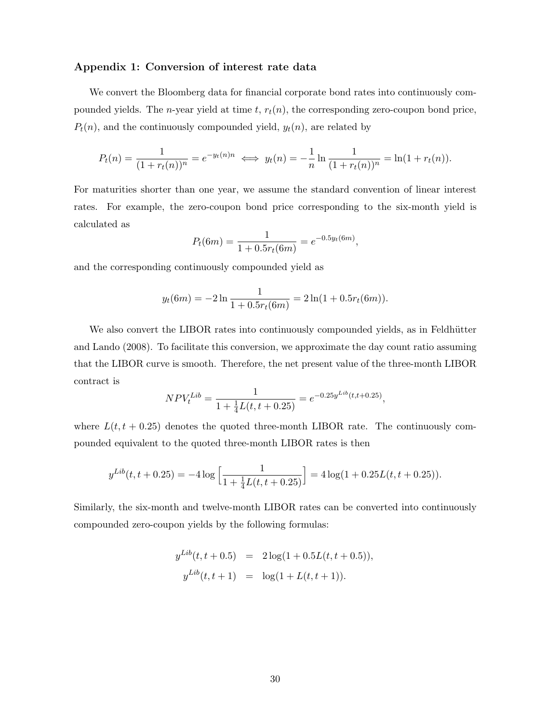#### Appendix 1: Conversion of interest rate data

We convert the Bloomberg data for financial corporate bond rates into continuously compounded yields. The *n*-year yield at time  $t, r_t(n)$ , the corresponding zero-coupon bond price,  $P_t(n)$ , and the continuously compounded yield,  $y_t(n)$ , are related by

$$
P_t(n) = \frac{1}{(1 + r_t(n))^n} = e^{-y_t(n)n} \iff y_t(n) = -\frac{1}{n} \ln \frac{1}{(1 + r_t(n))^n} = \ln(1 + r_t(n)).
$$

For maturities shorter than one year, we assume the standard convention of linear interest rates. For example, the zero-coupon bond price corresponding to the six-month yield is calculated as

$$
P_t(6m) = \frac{1}{1 + 0.5r_t(6m)} = e^{-0.5y_t(6m)},
$$

and the corresponding continuously compounded yield as

$$
y_t(6m) = -2\ln\frac{1}{1+0.5r_t(6m)} = 2\ln(1+0.5r_t(6m)).
$$

We also convert the LIBOR rates into continuously compounded yields, as in Feldhütter and Lando (2008). To facilitate this conversion, we approximate the day count ratio assuming that the LIBOR curve is smooth. Therefore, the net present value of the three-month LIBOR contract is

$$
NPV_t^{Lib} = \frac{1}{1 + \frac{1}{4}L(t, t + 0.25)} = e^{-0.25y^{Lib}(t, t + 0.25)},
$$

where  $L(t, t + 0.25)$  denotes the quoted three-month LIBOR rate. The continuously compounded equivalent to the quoted three-month LIBOR rates is then

$$
y^{Lib}(t,t+0.25) = -4\log\Big[\frac{1}{1+\frac{1}{4}L(t,t+0.25)}\Big] = 4\log(1+0.25L(t,t+0.25)).
$$

Similarly, the six-month and twelve-month LIBOR rates can be converted into continuously compounded zero-coupon yields by the following formulas:

$$
y^{Lib}(t, t+0.5) = 2\log(1+0.5L(t, t+0.5)),
$$
  
\n
$$
y^{Lib}(t, t+1) = \log(1+L(t, t+1)).
$$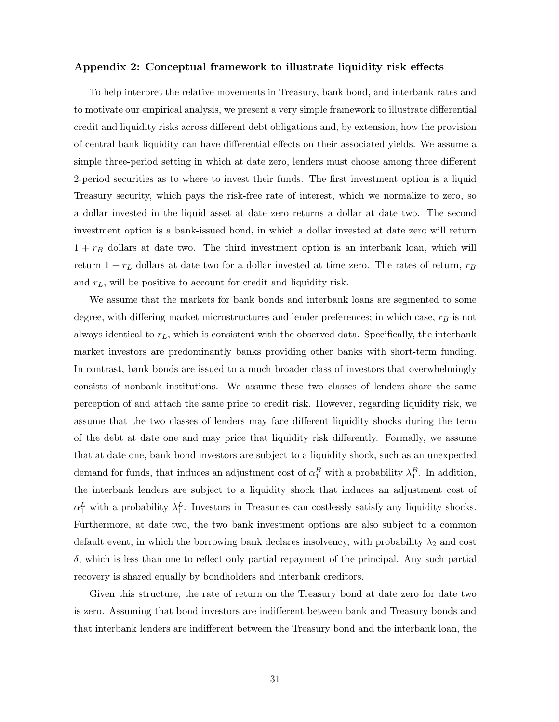#### Appendix 2: Conceptual framework to illustrate liquidity risk effects

To help interpret the relative movements in Treasury, bank bond, and interbank rates and to motivate our empirical analysis, we present a very simple framework to illustrate differential credit and liquidity risks across different debt obligations and, by extension, how the provision of central bank liquidity can have differential effects on their associated yields. We assume a simple three-period setting in which at date zero, lenders must choose among three different 2-period securities as to where to invest their funds. The first investment option is a liquid Treasury security, which pays the risk-free rate of interest, which we normalize to zero, so a dollar invested in the liquid asset at date zero returns a dollar at date two. The second investment option is a bank-issued bond, in which a dollar invested at date zero will return  $1 + r_B$  dollars at date two. The third investment option is an interbank loan, which will return  $1 + r<sub>L</sub>$  dollars at date two for a dollar invested at time zero. The rates of return,  $r<sub>B</sub>$ and  $r<sub>L</sub>$ , will be positive to account for credit and liquidity risk.

We assume that the markets for bank bonds and interbank loans are segmented to some degree, with differing market microstructures and lender preferences; in which case,  $r_B$  is not always identical to  $r<sub>L</sub>$ , which is consistent with the observed data. Specifically, the interbank market investors are predominantly banks providing other banks with short-term funding. In contrast, bank bonds are issued to a much broader class of investors that overwhelmingly consists of nonbank institutions. We assume these two classes of lenders share the same perception of and attach the same price to credit risk. However, regarding liquidity risk, we assume that the two classes of lenders may face different liquidity shocks during the term of the debt at date one and may price that liquidity risk differently. Formally, we assume that at date one, bank bond investors are subject to a liquidity shock, such as an unexpected demand for funds, that induces an adjustment cost of  $\alpha_1^B$  with a probability  $\lambda_1^B$ . In addition, the interbank lenders are subject to a liquidity shock that induces an adjustment cost of  $\alpha_1^L$  with a probability  $\lambda_1^L$ . Investors in Treasuries can costlessly satisfy any liquidity shocks. Furthermore, at date two, the two bank investment options are also subject to a common default event, in which the borrowing bank declares insolvency, with probability  $\lambda_2$  and cost  $\delta$ , which is less than one to reflect only partial repayment of the principal. Any such partial recovery is shared equally by bondholders and interbank creditors.

Given this structure, the rate of return on the Treasury bond at date zero for date two is zero. Assuming that bond investors are indifferent between bank and Treasury bonds and that interbank lenders are indifferent between the Treasury bond and the interbank loan, the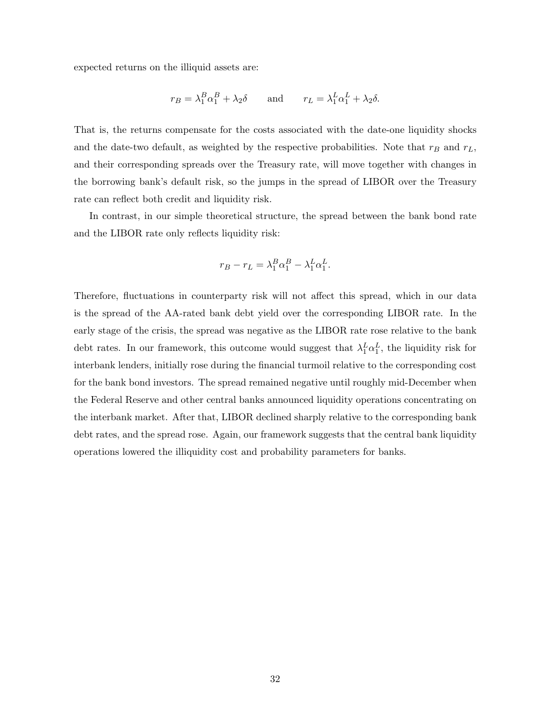expected returns on the illiquid assets are:

$$
r_B = \lambda_1^B \alpha_1^B + \lambda_2 \delta \quad \text{and} \quad r_L = \lambda_1^L \alpha_1^L + \lambda_2 \delta.
$$

That is, the returns compensate for the costs associated with the date-one liquidity shocks and the date-two default, as weighted by the respective probabilities. Note that  $r_B$  and  $r_L$ , and their corresponding spreads over the Treasury rate, will move together with changes in the borrowing bank's default risk, so the jumps in the spread of LIBOR over the Treasury rate can reflect both credit and liquidity risk.

In contrast, in our simple theoretical structure, the spread between the bank bond rate and the LIBOR rate only reflects liquidity risk:

$$
r_B - r_L = \lambda_1^B \alpha_1^B - \lambda_1^L \alpha_1^L.
$$

Therefore, fluctuations in counterparty risk will not affect this spread, which in our data is the spread of the AA-rated bank debt yield over the corresponding LIBOR rate. In the early stage of the crisis, the spread was negative as the LIBOR rate rose relative to the bank debt rates. In our framework, this outcome would suggest that  $\lambda_1^L \alpha_1^L$ , the liquidity risk for interbank lenders, initially rose during the financial turmoil relative to the corresponding cost for the bank bond investors. The spread remained negative until roughly mid-December when the Federal Reserve and other central banks announced liquidity operations concentrating on the interbank market. After that, LIBOR declined sharply relative to the corresponding bank debt rates, and the spread rose. Again, our framework suggests that the central bank liquidity operations lowered the illiquidity cost and probability parameters for banks.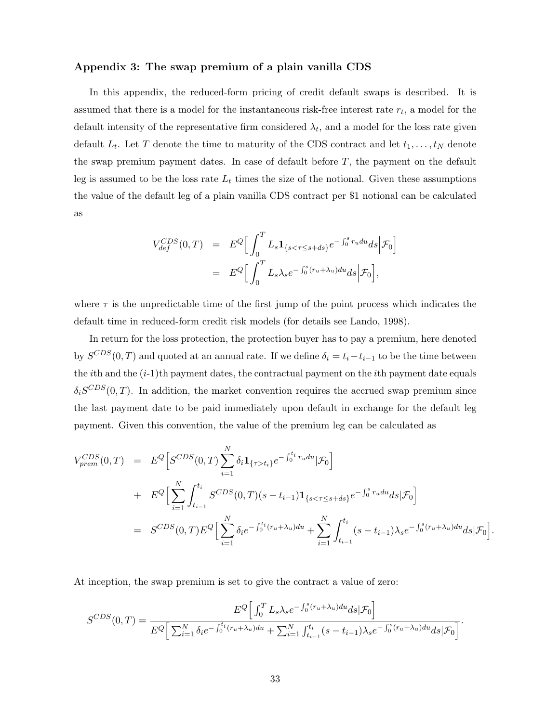#### Appendix 3: The swap premium of a plain vanilla CDS

In this appendix, the reduced-form pricing of credit default swaps is described. It is assumed that there is a model for the instantaneous risk-free interest rate  $r_t$ , a model for the default intensity of the representative firm considered  $\lambda_t$ , and a model for the loss rate given default  $L_t$ . Let T denote the time to maturity of the CDS contract and let  $t_1, \ldots, t_N$  denote the swap premium payment dates. In case of default before  $T$ , the payment on the default leg is assumed to be the loss rate  $L_t$  times the size of the notional. Given these assumptions the value of the default leg of a plain vanilla CDS contract per \$1 notional can be calculated as

$$
V_{def}^{CDS}(0,T) = E^{Q} \Big[ \int_{0}^{T} L_{s} \mathbf{1}_{\{s < \tau \le s+ds\}} e^{-\int_{0}^{s} r_{u} du} ds \Big| \mathcal{F}_{0} \Big]
$$
  
= 
$$
E^{Q} \Big[ \int_{0}^{T} L_{s} \lambda_{s} e^{-\int_{0}^{s} (r_{u} + \lambda_{u}) du} ds \Big| \mathcal{F}_{0} \Big],
$$

where  $\tau$  is the unpredictable time of the first jump of the point process which indicates the default time in reduced-form credit risk models (for details see Lando, 1998).

In return for the loss protection, the protection buyer has to pay a premium, here denoted by  $S^{CDS}(0,T)$  and quoted at an annual rate. If we define  $\delta_i = t_i - t_{i-1}$  to be the time between the *i*th and the  $(i-1)$ <sup>th</sup> payment dates, the contractual payment on the *i*<sup>th</sup> payment date equals  $\delta_i S^{CDS}(0,T)$ . In addition, the market convention requires the accrued swap premium since the last payment date to be paid immediately upon default in exchange for the default leg payment. Given this convention, the value of the premium leg can be calculated as

$$
V_{prem}^{CDS}(0,T) = E^{Q}\Big[S^{CDS}(0,T)\sum_{i=1}^{N} \delta_{i} \mathbf{1}_{\{\tau > t_{i}\}} e^{-\int_{0}^{t_{i}} r_{u} du} |\mathcal{F}_{0}\Big]
$$
  
+ 
$$
E^{Q}\Big[\sum_{i=1}^{N} \int_{t_{i-1}}^{t_{i}} S^{CDS}(0,T)(s-t_{i-1}) \mathbf{1}_{\{s < \tau \le s+ds\}} e^{-\int_{0}^{s} r_{u} du} ds |\mathcal{F}_{0}\Big]
$$
  
= 
$$
S^{CDS}(0,T) E^{Q}\Big[\sum_{i=1}^{N} \delta_{i} e^{-\int_{0}^{t_{i}} (r_{u} + \lambda_{u}) du} + \sum_{i=1}^{N} \int_{t_{i-1}}^{t_{i}} (s-t_{i-1}) \lambda_{s} e^{-\int_{0}^{s} (r_{u} + \lambda_{u}) du} ds |\mathcal{F}_{0}\Big]
$$

.

At inception, the swap premium is set to give the contract a value of zero:

$$
S^{CDS}(0,T) = \frac{E^{Q}\Big[\int_{0}^{T} L_{s}\lambda_{s}e^{-\int_{0}^{t}(r_{u}+\lambda_{u})du}ds|\mathcal{F}_{0}\Big]}{E^{Q}\Big[\sum_{i=1}^{N}\delta_{i}e^{-\int_{0}^{t_{i}}(r_{u}+\lambda_{u})du}+\sum_{i=1}^{N}\int_{t_{i-1}}^{t_{i}}(s-t_{i-1})\lambda_{s}e^{-\int_{0}^{s}(r_{u}+\lambda_{u})du}ds|\mathcal{F}_{0}\Big]}.
$$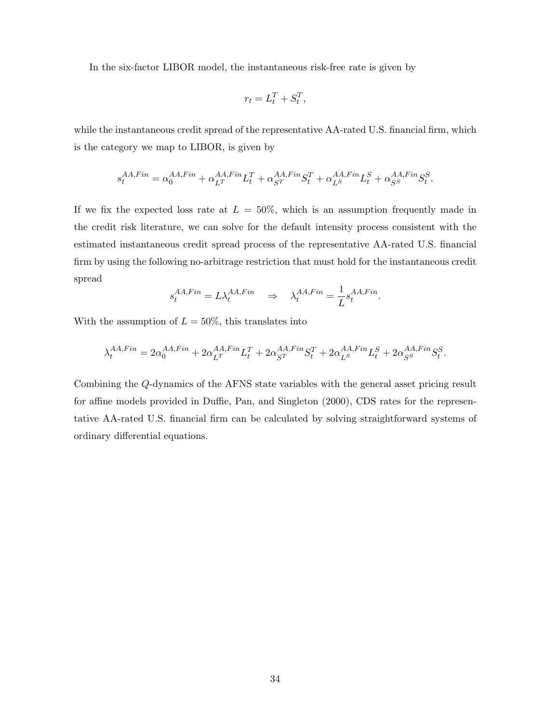In the six-factor LIBOR model, the instantaneous risk-free rate is given by

$$
r_t = L_t^T + S_t^T,
$$

while the instantaneous credit spread of the representative AA-rated U.S. financial firm, which is the category we map to LIBOR, is given by

$$
s^{AA,Fin}_t=\alpha^{AA,Fin}_0+\alpha^{AA,Fin}_{LT}L^T_t+\alpha^{AA,Fin}_{ST}S^T_t+\alpha^{AA,Fin}_{LS}L^S_t+\alpha^{AA,Fin}_{SS}S^S_t.
$$

If we fix the expected loss rate at  $L = 50\%$ , which is an assumption frequently made in the credit risk literature, we can solve for the default intensity process consistent with the estimated instantaneous credit spread process of the representative AA-rated U.S. financial firm by using the following no-arbitrage restriction that must hold for the instantaneous credit spread

$$
s_t^{AA,Fin} = L\lambda_t^{AA,Fin} \quad \Rightarrow \quad \lambda_t^{AA,Fin} = \frac{1}{L} s_t^{AA,Fin}.
$$

With the assumption of  $L = 50\%$ , this translates into

$$
\lambda_t^{AA,Fin} = 2\alpha_0^{AA,Fin} + 2\alpha_{LT}^{AA,Fin}L_t^T + 2\alpha_{ST}^{AA,Fin}S_t^T + 2\alpha_{LS}^{AA,Fin}L_t^S + 2\alpha_{SS}^{AA,Fin}S_t^S.
$$

Combining the Q-dynamics of the AFNS state variables with the general asset pricing result for affine models provided in Duffie, Pan, and Singleton (2000), CDS rates for the representative AA-rated U.S. financial firm can be calculated by solving straightforward systems of ordinary differential equations.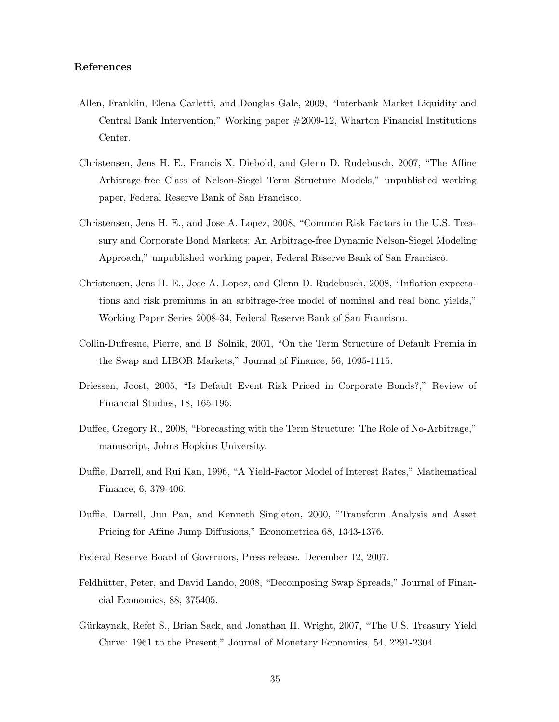#### References

- Allen, Franklin, Elena Carletti, and Douglas Gale, 2009, "Interbank Market Liquidity and Central Bank Intervention," Working paper #2009-12, Wharton Financial Institutions Center.
- Christensen, Jens H. E., Francis X. Diebold, and Glenn D. Rudebusch, 2007, "The Affine Arbitrage-free Class of Nelson-Siegel Term Structure Models," unpublished working paper, Federal Reserve Bank of San Francisco.
- Christensen, Jens H. E., and Jose A. Lopez, 2008, "Common Risk Factors in the U.S. Treasury and Corporate Bond Markets: An Arbitrage-free Dynamic Nelson-Siegel Modeling Approach," unpublished working paper, Federal Reserve Bank of San Francisco.
- Christensen, Jens H. E., Jose A. Lopez, and Glenn D. Rudebusch, 2008, "Inflation expectations and risk premiums in an arbitrage-free model of nominal and real bond yields," Working Paper Series 2008-34, Federal Reserve Bank of San Francisco.
- Collin-Dufresne, Pierre, and B. Solnik, 2001, "On the Term Structure of Default Premia in the Swap and LIBOR Markets," Journal of Finance, 56, 1095-1115.
- Driessen, Joost, 2005, "Is Default Event Risk Priced in Corporate Bonds?," Review of Financial Studies, 18, 165-195.
- Duffee, Gregory R., 2008, "Forecasting with the Term Structure: The Role of No-Arbitrage," manuscript, Johns Hopkins University.
- Duffie, Darrell, and Rui Kan, 1996, "A Yield-Factor Model of Interest Rates," Mathematical Finance, 6, 379-406.
- Duffie, Darrell, Jun Pan, and Kenneth Singleton, 2000, "Transform Analysis and Asset Pricing for Affine Jump Diffusions," Econometrica 68, 1343-1376.
- Federal Reserve Board of Governors, Press release. December 12, 2007.
- Feldhütter, Peter, and David Lando, 2008, "Decomposing Swap Spreads," Journal of Financial Economics, 88, 375405.
- Gürkaynak, Refet S., Brian Sack, and Jonathan H. Wright, 2007, "The U.S. Treasury Yield Curve: 1961 to the Present," Journal of Monetary Economics, 54, 2291-2304.